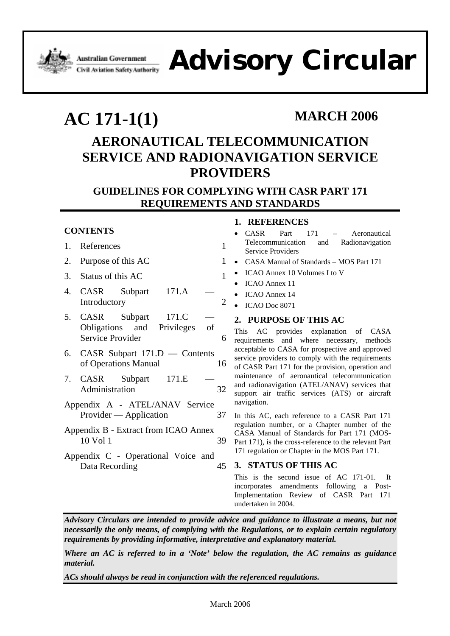

Advistme Covernment **Advisory Circular** 

# **AC 171-1(1) MARCH 2006**

# **AERONAUTICAL TELECOMMUNICATION SERVICE AND RADIONAVIGATION SERVICE PROVIDERS**

# **GUIDELINES FOR COMPLYING WITH CASR PART 171 REQUIREMENTS AND STANDARDS**

#### **CONTENTS**

- 1. References 1
- 2. Purpose of this AC 1
- 3. Status of this AC 1
- 4. CASR Subpart 171.A Introductory 2
- 5. CASR Subpart 171.C Obligations and Privileges of Service Provider 6
- 6. CASR Subpart 171.D Contents of Operations Manual 16
- 7. CASR Subpart 171.E Administration 32
- Appendix A ATEL/ANAV Service Provider — Application 37
- Appendix B Extract from ICAO Annex 10 Vol 1 39
- Appendix C Operational Voice and Data Recording 45

#### **1. REFERENCES**

- CASR Part 171 Aeronautical Telecommunication and Radionavigation Service Providers
- CASA Manual of Standards MOS Part 171
- ICAO Annex 10 Volumes I to V
- ICAO Annex 11
- ICAO Annex 14
- ICAO Doc 8071

#### **2. PURPOSE OF THIS AC**

This AC provides explanation of CASA requirements and where necessary, methods acceptable to CASA for prospective and approved service providers to comply with the requirements of CASR Part 171 for the provision, operation and maintenance of aeronautical telecommunication and radionavigation (ATEL/ANAV) services that support air traffic services (ATS) or aircraft navigation.

In this AC, each reference to a CASR Part 171 regulation number, or a Chapter number of the CASA Manual of Standards for Part 171 (MOS-Part 171), is the cross-reference to the relevant Part 171 regulation or Chapter in the MOS Part 171.

#### **3. STATUS OF THIS AC**

This is the second issue of AC 171-01. It incorporates amendments following a Post-Implementation Review of CASR Part 171 undertaken in 2004.

*Advisory Circulars are intended to provide advice and guidance to illustrate a means, but not necessarily the only means, of complying with the Regulations, or to explain certain regulatory requirements by providing informative, interpretative and explanatory material.* 

*Where an AC is referred to in a 'Note' below the regulation, the AC remains as guidance material.* 

*ACs should always be read in conjunction with the referenced regulations.*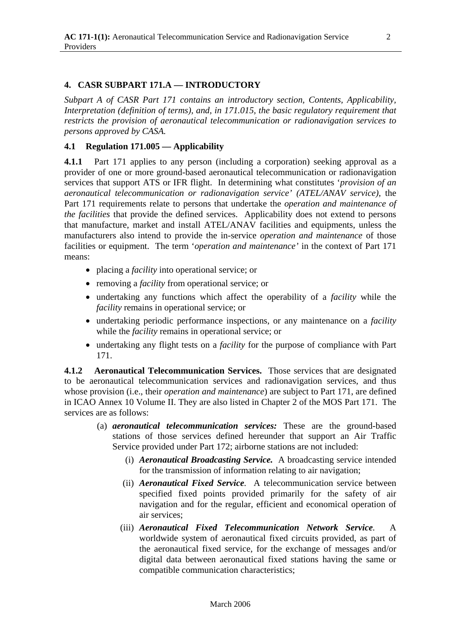#### **4. CASR SUBPART 171.A — INTRODUCTORY**

*Subpart A of CASR Part 171 contains an introductory section, Contents, Applicability, Interpretation (definition of terms), and, in 171.015, the basic regulatory requirement that restricts the provision of aeronautical telecommunication or radionavigation services to persons approved by CASA.* 

#### **4.1 Regulation 171.005 — Applicability**

**4.1.1** Part 171 applies to any person (including a corporation) seeking approval as a provider of one or more ground-based aeronautical telecommunication or radionavigation services that support ATS or IFR flight. In determining what constitutes '*provision of an aeronautical telecommunication or radionavigation service' (ATEL/ANAV service)*, the Part 171 requirements relate to persons that undertake the *operation and maintenance of the facilities* that provide the defined services. Applicability does not extend to persons that manufacture, market and install ATEL/ANAV facilities and equipments, unless the manufacturers also intend to provide the in-service *operation and maintenance* of those facilities or equipment. The term '*operation and maintenance'* in the context of Part 171 means:

- placing a *facility* into operational service; or
- removing a *facility* from operational service; or
- undertaking any functions which affect the operability of a *facility* while the *facility* remains in operational service; or
- undertaking periodic performance inspections, or any maintenance on a *facility* while the *facility* remains in operational service; or
- undertaking any flight tests on a *facility* for the purpose of compliance with Part 171.

**4.1.2 Aeronautical Telecommunication Services.** Those services that are designated to be aeronautical telecommunication services and radionavigation services, and thus whose provision (i.e., their *operation and maintenance*) are subject to Part 171, are defined in ICAO Annex 10 Volume II. They are also listed in Chapter 2 of the MOS Part 171. The services are as follows:

- (a) *aeronautical telecommunication services:* These are the ground-based stations of those services defined hereunder that support an Air Traffic Service provided under Part 172; airborne stations are not included:
	- (i) *Aeronautical Broadcasting Service.* A broadcasting service intended for the transmission of information relating to air navigation;
	- (ii) *Aeronautical Fixed Service.* A telecommunication service between specified fixed points provided primarily for the safety of air navigation and for the regular, efficient and economical operation of air services;
	- (iii) *Aeronautical Fixed Telecommunication Network Service.* A worldwide system of aeronautical fixed circuits provided, as part of the aeronautical fixed service, for the exchange of messages and/or digital data between aeronautical fixed stations having the same or compatible communication characteristics;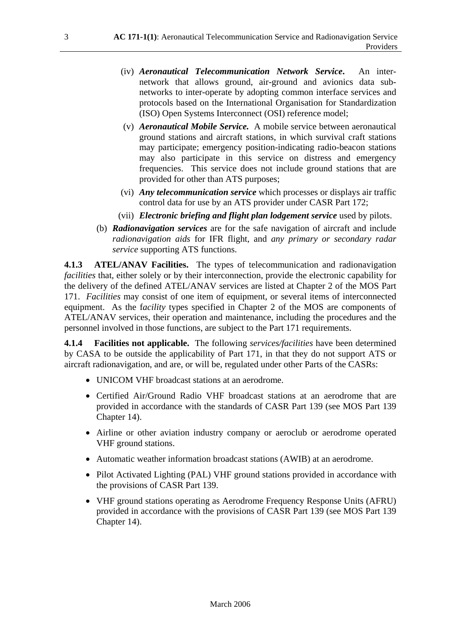- (iv) *Aeronautical Telecommunication Network Service***.** An internetwork that allows ground, air-ground and avionics data subnetworks to inter-operate by adopting common interface services and protocols based on the International Organisation for Standardization (ISO) Open Systems Interconnect (OSI) reference model;
- (v) *Aeronautical Mobile Service.* A mobile service between aeronautical ground stations and aircraft stations, in which survival craft stations may participate; emergency position-indicating radio-beacon stations may also participate in this service on distress and emergency frequencies. This service does not include ground stations that are provided for other than ATS purposes;
- (vi) *Any telecommunication service* which processes or displays air traffic control data for use by an ATS provider under CASR Part 172;
- (vii) *Electronic briefing and flight plan lodgement service* used by pilots.
- (b) *Radionavigation services* are for the safe navigation of aircraft and include *radionavigation aids* for IFR flight, and *any primary or secondary radar service* supporting ATS functions.

**4.1.3 ATEL/ANAV Facilities.** The types of telecommunication and radionavigation *facilities* that, either solely or by their interconnection, provide the electronic capability for the delivery of the defined ATEL/ANAV services are listed at Chapter 2 of the MOS Part 171. *Facilities* may consist of one item of equipment, or several items of interconnected equipment. As the f*acility* types specified in Chapter 2 of the MOS are components of ATEL/ANAV services, their operation and maintenance, including the procedures and the personnel involved in those functions, are subject to the Part 171 requirements.

**4.1.4 Facilities not applicable.** The following *services/facilities* have been determined by CASA to be outside the applicability of Part 171, in that they do not support ATS or aircraft radionavigation, and are, or will be, regulated under other Parts of the CASRs:

- **UNICOM VHF** broadcast stations at an aerodrome.
- Certified Air/Ground Radio VHF broadcast stations at an aerodrome that are provided in accordance with the standards of CASR Part 139 (see MOS Part 139 Chapter 14).
- Airline or other aviation industry company or aeroclub or aerodrome operated VHF ground stations.
- Automatic weather information broadcast stations (AWIB) at an aerodrome.
- Pilot Activated Lighting (PAL) VHF ground stations provided in accordance with the provisions of CASR Part 139.
- VHF ground stations operating as Aerodrome Frequency Response Units (AFRU) provided in accordance with the provisions of CASR Part 139 (see MOS Part 139 Chapter 14).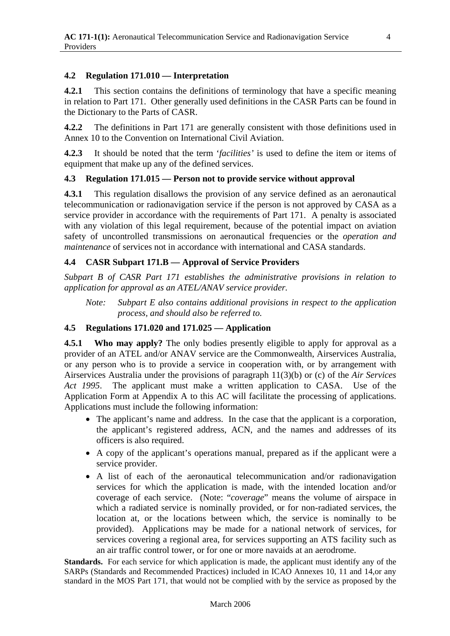#### **4.2 Regulation 171.010 — Interpretation**

**4.2.1** This section contains the definitions of terminology that have a specific meaning in relation to Part 171. Other generally used definitions in the CASR Parts can be found in the Dictionary to the Parts of CASR.

**4.2.2** The definitions in Part 171 are generally consistent with those definitions used in Annex 10 to the Convention on International Civil Aviation.

**4.2.3** It should be noted that the term '*facilities'* is used to define the item or items of equipment that make up any of the defined services.

#### **4.3 Regulation 171.015 — Person not to provide service without approval**

**4.3.1** This regulation disallows the provision of any service defined as an aeronautical telecommunication or radionavigation service if the person is not approved by CASA as a service provider in accordance with the requirements of Part 171. A penalty is associated with any violation of this legal requirement, because of the potential impact on aviation safety of uncontrolled transmissions on aeronautical frequencies or the *operation and maintenance* of services not in accordance with international and CASA standards.

#### **4.4 CASR Subpart 171.B — Approval of Service Providers**

*Subpart B of CASR Part 171 establishes the administrative provisions in relation to application for approval as an ATEL/ANAV service provider.* 

*Note: Subpart E also contains additional provisions in respect to the application process, and should also be referred to.* 

#### **4.5 Regulations 171.020 and 171.025 — Application**

**4.5.1 Who may apply?** The only bodies presently eligible to apply for approval as a provider of an ATEL and/or ANAV service are the Commonwealth, Airservices Australia, or any person who is to provide a service in cooperation with, or by arrangement with Airservices Australia under the provisions of paragraph 11(3)(b) or (c) of the *Air Services Act 1995*. The applicant must make a written application to CASA. Use of the Application Form at Appendix A to this AC will facilitate the processing of applications. Applications must include the following information:

- The applicant's name and address. In the case that the applicant is a corporation, the applicant's registered address, ACN, and the names and addresses of its officers is also required.
- A copy of the applicant's operations manual, prepared as if the applicant were a service provider.
- A list of each of the aeronautical telecommunication and/or radionavigation services for which the application is made, with the intended location and/or coverage of each service. (Note: "*coverage*" means the volume of airspace in which a radiated service is nominally provided, or for non-radiated services, the location at, or the locations between which, the service is nominally to be provided). Applications may be made for a national network of services, for services covering a regional area, for services supporting an ATS facility such as an air traffic control tower, or for one or more navaids at an aerodrome.

**Standards.** For each service for which application is made, the applicant must identify any of the SARPs (Standards and Recommended Practices) included in ICAO Annexes 10, 11 and 14,or any standard in the MOS Part 171, that would not be complied with by the service as proposed by the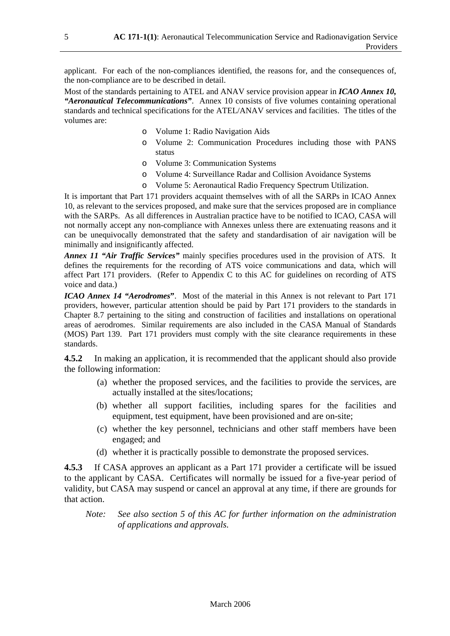applicant. For each of the non-compliances identified, the reasons for, and the consequences of, the non-compliance are to be described in detail.

Most of the standards pertaining to ATEL and ANAV service provision appear in *ICAO Annex 10, "Aeronautical Telecommunications"*. Annex 10 consists of five volumes containing operational standards and technical specifications for the ATEL/ANAV services and facilities. The titles of the volumes are:

- o Volume 1: Radio Navigation Aids
- o Volume 2: Communication Procedures including those with PANS status
- o Volume 3: Communication Systems
- o Volume 4: Surveillance Radar and Collision Avoidance Systems
- o Volume 5: Aeronautical Radio Frequency Spectrum Utilization.

It is important that Part 171 providers acquaint themselves with of all the SARPs in ICAO Annex 10, as relevant to the services proposed, and make sure that the services proposed are in compliance with the SARPs. As all differences in Australian practice have to be notified to ICAO, CASA will not normally accept any non-compliance with Annexes unless there are extenuating reasons and it can be unequivocally demonstrated that the safety and standardisation of air navigation will be minimally and insignificantly affected.

*Annex 11 "Air Traffic Services"* mainly specifies procedures used in the provision of ATS. It defines the requirements for the recording of ATS voice communications and data, which will affect Part 171 providers. (Refer to Appendix C to this AC for guidelines on recording of ATS voice and data.)

*ICAO Annex 14 "Aerodromes***"**. Most of the material in this Annex is not relevant to Part 171 providers, however, particular attention should be paid by Part 171 providers to the standards in Chapter 8.7 pertaining to the siting and construction of facilities and installations on operational areas of aerodromes. Similar requirements are also included in the CASA Manual of Standards (MOS) Part 139. Part 171 providers must comply with the site clearance requirements in these standards.

**4.5.2** In making an application, it is recommended that the applicant should also provide the following information:

- (a) whether the proposed services, and the facilities to provide the services, are actually installed at the sites/locations;
- (b) whether all support facilities, including spares for the facilities and equipment, test equipment, have been provisioned and are on-site;
- (c) whether the key personnel, technicians and other staff members have been engaged; and
- (d) whether it is practically possible to demonstrate the proposed services.

**4.5.3** If CASA approves an applicant as a Part 171 provider a certificate will be issued to the applicant by CASA. Certificates will normally be issued for a five-year period of validity, but CASA may suspend or cancel an approval at any time, if there are grounds for that action.

*Note: See also section 5 of this AC for further information on the administration of applications and approvals.*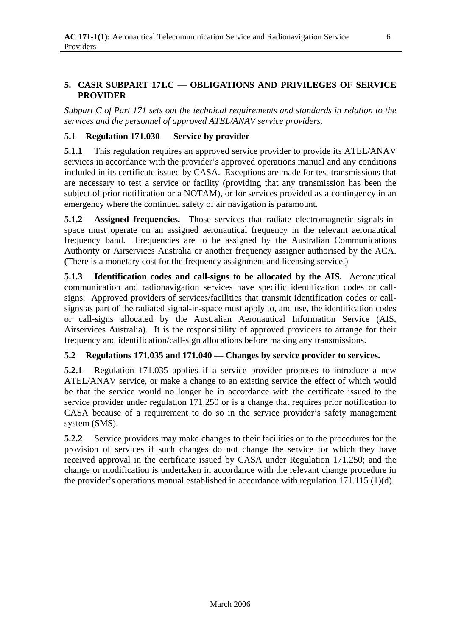#### **5. CASR SUBPART 171.C — OBLIGATIONS AND PRIVILEGES OF SERVICE PROVIDER**

*Subpart C of Part 171 sets out the technical requirements and standards in relation to the services and the personnel of approved ATEL/ANAV service providers.* 

#### **5.1 Regulation 171.030 — Service by provider**

**5.1.1** This regulation requires an approved service provider to provide its ATEL/ANAV services in accordance with the provider's approved operations manual and any conditions included in its certificate issued by CASA. Exceptions are made for test transmissions that are necessary to test a service or facility (providing that any transmission has been the subject of prior notification or a NOTAM), or for services provided as a contingency in an emergency where the continued safety of air navigation is paramount.

**5.1.2 Assigned frequencies.** Those services that radiate electromagnetic signals-inspace must operate on an assigned aeronautical frequency in the relevant aeronautical frequency band. Frequencies are to be assigned by the Australian Communications Authority or Airservices Australia or another frequency assigner authorised by the ACA. (There is a monetary cost for the frequency assignment and licensing service.)

**5.1.3 Identification codes and call-signs to be allocated by the AIS.** Aeronautical communication and radionavigation services have specific identification codes or callsigns. Approved providers of services/facilities that transmit identification codes or callsigns as part of the radiated signal-in-space must apply to, and use, the identification codes or call-signs allocated by the Australian Aeronautical Information Service (AIS, Airservices Australia). It is the responsibility of approved providers to arrange for their frequency and identification/call-sign allocations before making any transmissions.

#### **5.2 Regulations 171.035 and 171.040 — Changes by service provider to services.**

**5.2.1** Regulation 171.035 applies if a service provider proposes to introduce a new ATEL/ANAV service, or make a change to an existing service the effect of which would be that the service would no longer be in accordance with the certificate issued to the service provider under regulation 171.250 or is a change that requires prior notification to CASA because of a requirement to do so in the service provider's safety management system (SMS).

**5.2.2** Service providers may make changes to their facilities or to the procedures for the provision of services if such changes do not change the service for which they have received approval in the certificate issued by CASA under Regulation 171.250; and the change or modification is undertaken in accordance with the relevant change procedure in the provider's operations manual established in accordance with regulation 171.115 (1)(d).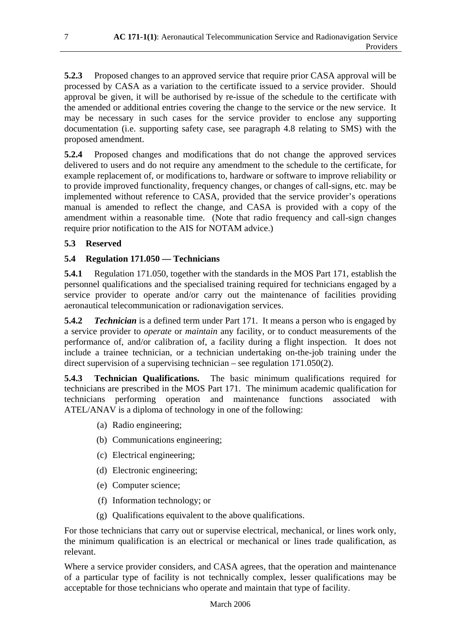**5.2.3** Proposed changes to an approved service that require prior CASA approval will be processed by CASA as a variation to the certificate issued to a service provider. Should approval be given, it will be authorised by re-issue of the schedule to the certificate with the amended or additional entries covering the change to the service or the new service. It may be necessary in such cases for the service provider to enclose any supporting documentation (i.e. supporting safety case, see paragraph 4.8 relating to SMS) with the proposed amendment.

**5.2.4** Proposed changes and modifications that do not change the approved services delivered to users and do not require any amendment to the schedule to the certificate, for example replacement of, or modifications to, hardware or software to improve reliability or to provide improved functionality, frequency changes, or changes of call-signs, etc. may be implemented without reference to CASA, provided that the service provider's operations manual is amended to reflect the change, and CASA is provided with a copy of the amendment within a reasonable time. (Note that radio frequency and call-sign changes require prior notification to the AIS for NOTAM advice.)

# **5.3 Reserved**

#### **5.4 Regulation 171.050 — Technicians**

**5.4.1** Regulation 171.050, together with the standards in the MOS Part 171, establish the personnel qualifications and the specialised training required for technicians engaged by a service provider to operate and/or carry out the maintenance of facilities providing aeronautical telecommunication or radionavigation services.

**5.4.2** *Technician* is a defined term under Part 171. It means a person who is engaged by a service provider to *operate* or *maintain* any facility, or to conduct measurements of the performance of, and/or calibration of, a facility during a flight inspection. It does not include a trainee technician, or a technician undertaking on-the-job training under the direct supervision of a supervising technician – see regulation 171.050(2).

**5.4.3 Technician Qualifications.** The basic minimum qualifications required for technicians are prescribed in the MOS Part 171. The minimum academic qualification for technicians performing operation and maintenance functions associated with ATEL/ANAV is a diploma of technology in one of the following:

- (a) Radio engineering;
- (b) Communications engineering;
- (c) Electrical engineering;
- (d) Electronic engineering;
- (e) Computer science;
- (f) Information technology; or
- (g) Qualifications equivalent to the above qualifications.

For those technicians that carry out or supervise electrical, mechanical, or lines work only, the minimum qualification is an electrical or mechanical or lines trade qualification, as relevant.

Where a service provider considers, and CASA agrees, that the operation and maintenance of a particular type of facility is not technically complex, lesser qualifications may be acceptable for those technicians who operate and maintain that type of facility.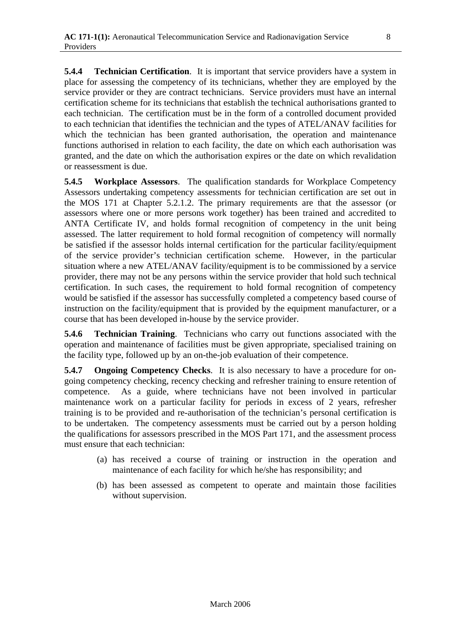**5.4.4 Technician Certification**. It is important that service providers have a system in place for assessing the competency of its technicians, whether they are employed by the service provider or they are contract technicians. Service providers must have an internal certification scheme for its technicians that establish the technical authorisations granted to each technician. The certification must be in the form of a controlled document provided to each technician that identifies the technician and the types of ATEL/ANAV facilities for which the technician has been granted authorisation, the operation and maintenance functions authorised in relation to each facility, the date on which each authorisation was granted, and the date on which the authorisation expires or the date on which revalidation or reassessment is due.

**5.4.5 Workplace Assessors**. The qualification standards for Workplace Competency Assessors undertaking competency assessments for technician certification are set out in the MOS 171 at Chapter 5.2.1.2. The primary requirements are that the assessor (or assessors where one or more persons work together) has been trained and accredited to ANTA Certificate IV, and holds formal recognition of competency in the unit being assessed. The latter requirement to hold formal recognition of competency will normally be satisfied if the assessor holds internal certification for the particular facility/equipment of the service provider's technician certification scheme. However, in the particular situation where a new ATEL/ANAV facility/equipment is to be commissioned by a service provider, there may not be any persons within the service provider that hold such technical certification. In such cases, the requirement to hold formal recognition of competency would be satisfied if the assessor has successfully completed a competency based course of instruction on the facility/equipment that is provided by the equipment manufacturer, or a course that has been developed in-house by the service provider.

**5.4.6 Technician Training**. Technicians who carry out functions associated with the operation and maintenance of facilities must be given appropriate, specialised training on the facility type, followed up by an on-the-job evaluation of their competence.

**5.4.7 Ongoing Competency Checks**. It is also necessary to have a procedure for ongoing competency checking, recency checking and refresher training to ensure retention of competence. As a guide, where technicians have not been involved in particular maintenance work on a particular facility for periods in excess of 2 years, refresher training is to be provided and re-authorisation of the technician's personal certification is to be undertaken. The competency assessments must be carried out by a person holding the qualifications for assessors prescribed in the MOS Part 171, and the assessment process must ensure that each technician:

- (a) has received a course of training or instruction in the operation and maintenance of each facility for which he/she has responsibility; and
- (b) has been assessed as competent to operate and maintain those facilities without supervision.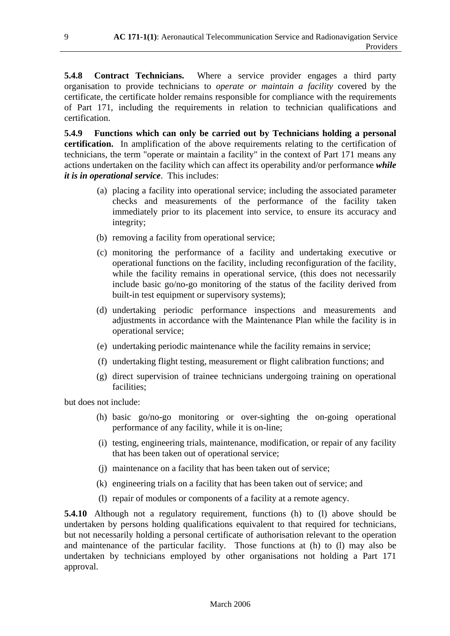**5.4.8 Contract Technicians.** Where a service provider engages a third party organisation to provide technicians to *operate or maintain a facility* covered by the certificate, the certificate holder remains responsible for compliance with the requirements of Part 171, including the requirements in relation to technician qualifications and certification.

**5.4.9 Functions which can only be carried out by Technicians holding a personal certification.** In amplification of the above requirements relating to the certification of technicians, the term "operate or maintain a facility" in the context of Part 171 means any actions undertaken on the facility which can affect its operability and/or performance *while it is in operational service*. This includes:

- (a) placing a facility into operational service; including the associated parameter checks and measurements of the performance of the facility taken immediately prior to its placement into service, to ensure its accuracy and integrity;
- (b) removing a facility from operational service;
- (c) monitoring the performance of a facility and undertaking executive or operational functions on the facility, including reconfiguration of the facility, while the facility remains in operational service, (this does not necessarily include basic go/no-go monitoring of the status of the facility derived from built-in test equipment or supervisory systems);
- (d) undertaking periodic performance inspections and measurements and adjustments in accordance with the Maintenance Plan while the facility is in operational service;
- (e) undertaking periodic maintenance while the facility remains in service;
- (f) undertaking flight testing, measurement or flight calibration functions; and
- (g) direct supervision of trainee technicians undergoing training on operational facilities;

but does not include:

- (h) basic go/no-go monitoring or over-sighting the on-going operational performance of any facility, while it is on-line;
- (i) testing, engineering trials, maintenance, modification, or repair of any facility that has been taken out of operational service;
- (j) maintenance on a facility that has been taken out of service;
- (k) engineering trials on a facility that has been taken out of service; and
- (l) repair of modules or components of a facility at a remote agency.

**5.4.10** Although not a regulatory requirement, functions (h) to (l) above should be undertaken by persons holding qualifications equivalent to that required for technicians, but not necessarily holding a personal certificate of authorisation relevant to the operation and maintenance of the particular facility. Those functions at (h) to (l) may also be undertaken by technicians employed by other organisations not holding a Part 171 approval.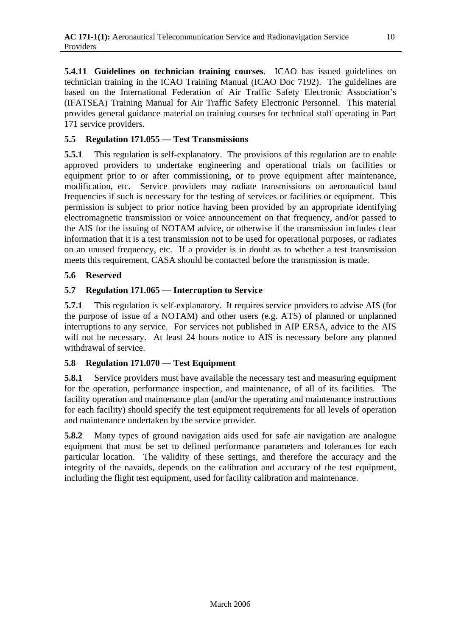**5.4.11 Guidelines on technician training courses**. ICAO has issued guidelines on technician training in the ICAO Training Manual (ICAO Doc 7192). The guidelines are based on the International Federation of Air Traffic Safety Electronic Association's (IFATSEA) Training Manual for Air Traffic Safety Electronic Personnel. This material provides general guidance material on training courses for technical staff operating in Part 171 service providers.

#### **5.5 Regulation 171.055 — Test Transmissions**

**5.5.1** This regulation is self-explanatory. The provisions of this regulation are to enable approved providers to undertake engineering and operational trials on facilities or equipment prior to or after commissioning, or to prove equipment after maintenance, modification, etc. Service providers may radiate transmissions on aeronautical band frequencies if such is necessary for the testing of services or facilities or equipment. This permission is subject to prior notice having been provided by an appropriate identifying electromagnetic transmission or voice announcement on that frequency, and/or passed to the AIS for the issuing of NOTAM advice, or otherwise if the transmission includes clear information that it is a test transmission not to be used for operational purposes, or radiates on an unused frequency, etc. If a provider is in doubt as to whether a test transmission meets this requirement, CASA should be contacted before the transmission is made.

#### **5.6 Reserved**

#### **5.7 Regulation 171.065 — Interruption to Service**

**5.7.1** This regulation is self-explanatory. It requires service providers to advise AIS (for the purpose of issue of a NOTAM) and other users (e.g. ATS) of planned or unplanned interruptions to any service. For services not published in AIP ERSA, advice to the AIS will not be necessary. At least 24 hours notice to AIS is necessary before any planned withdrawal of service.

#### **5.8 Regulation 171.070 — Test Equipment**

**5.8.1** Service providers must have available the necessary test and measuring equipment for the operation, performance inspection, and maintenance, of all of its facilities. The facility operation and maintenance plan (and/or the operating and maintenance instructions for each facility) should specify the test equipment requirements for all levels of operation and maintenance undertaken by the service provider.

**5.8.2** Many types of ground navigation aids used for safe air navigation are analogue equipment that must be set to defined performance parameters and tolerances for each particular location. The validity of these settings, and therefore the accuracy and the integrity of the navaids, depends on the calibration and accuracy of the test equipment, including the flight test equipment, used for facility calibration and maintenance.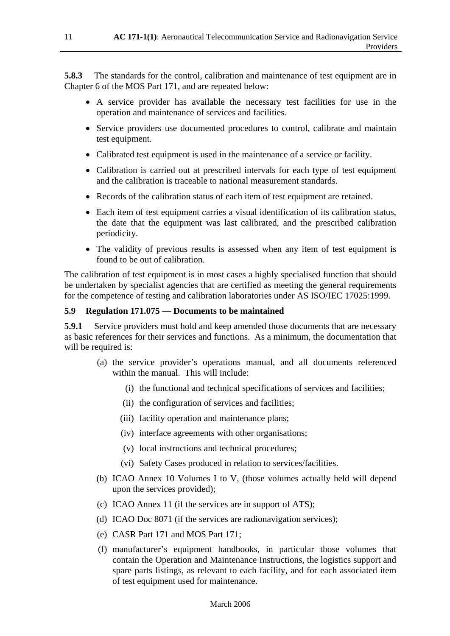**5.8.3** The standards for the control, calibration and maintenance of test equipment are in Chapter 6 of the MOS Part 171, and are repeated below:

- A service provider has available the necessary test facilities for use in the operation and maintenance of services and facilities.
- Service providers use documented procedures to control, calibrate and maintain test equipment.
- Calibrated test equipment is used in the maintenance of a service or facility.
- Calibration is carried out at prescribed intervals for each type of test equipment and the calibration is traceable to national measurement standards.
- Records of the calibration status of each item of test equipment are retained.
- Each item of test equipment carries a visual identification of its calibration status, the date that the equipment was last calibrated, and the prescribed calibration periodicity.
- The validity of previous results is assessed when any item of test equipment is found to be out of calibration.

The calibration of test equipment is in most cases a highly specialised function that should be undertaken by specialist agencies that are certified as meeting the general requirements for the competence of testing and calibration laboratories under AS ISO/IEC 17025:1999.

#### **5.9 Regulation 171.075 — Documents to be maintained**

**5.9.1** Service providers must hold and keep amended those documents that are necessary as basic references for their services and functions. As a minimum, the documentation that will be required is:

- (a) the service provider's operations manual, and all documents referenced within the manual. This will include:
	- (i) the functional and technical specifications of services and facilities;
	- (ii) the configuration of services and facilities;
	- (iii) facility operation and maintenance plans;
	- (iv) interface agreements with other organisations;
	- (v) local instructions and technical procedures;
	- (vi) Safety Cases produced in relation to services/facilities.
- (b) ICAO Annex 10 Volumes I to V, (those volumes actually held will depend upon the services provided);
- (c) ICAO Annex 11 (if the services are in support of ATS);
- (d) ICAO Doc 8071 (if the services are radionavigation services);
- (e) CASR Part 171 and MOS Part 171;
- (f) manufacturer's equipment handbooks, in particular those volumes that contain the Operation and Maintenance Instructions, the logistics support and spare parts listings, as relevant to each facility, and for each associated item of test equipment used for maintenance.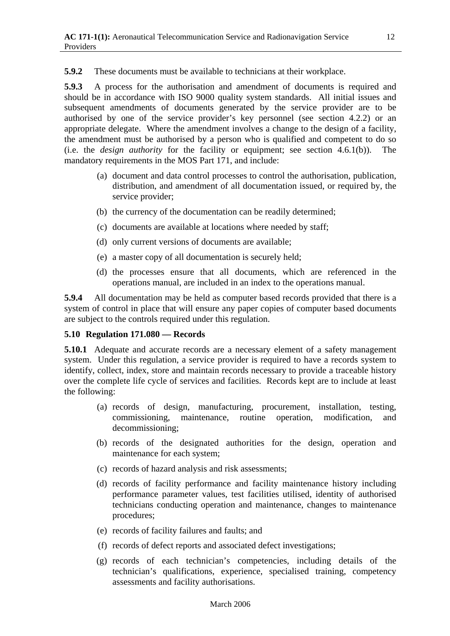**5.9.2** These documents must be available to technicians at their workplace.

**5.9.3** A process for the authorisation and amendment of documents is required and should be in accordance with ISO 9000 quality system standards. All initial issues and subsequent amendments of documents generated by the service provider are to be authorised by one of the service provider's key personnel (see section 4.2.2) or an appropriate delegate. Where the amendment involves a change to the design of a facility, the amendment must be authorised by a person who is qualified and competent to do so (i.e. the *design authority* for the facility or equipment; see section 4.6.1(b)). The mandatory requirements in the MOS Part 171, and include:

- (a) document and data control processes to control the authorisation, publication, distribution, and amendment of all documentation issued, or required by, the service provider;
- (b) the currency of the documentation can be readily determined;
- (c) documents are available at locations where needed by staff;
- (d) only current versions of documents are available;
- (e) a master copy of all documentation is securely held;
- (d) the processes ensure that all documents, which are referenced in the operations manual, are included in an index to the operations manual.

**5.9.4** All documentation may be held as computer based records provided that there is a system of control in place that will ensure any paper copies of computer based documents are subject to the controls required under this regulation.

#### **5.10 Regulation 171.080 — Records**

**5.10.1** Adequate and accurate records are a necessary element of a safety management system. Under this regulation, a service provider is required to have a records system to identify, collect, index, store and maintain records necessary to provide a traceable history over the complete life cycle of services and facilities. Records kept are to include at least the following:

- (a) records of design, manufacturing, procurement, installation, testing, commissioning, maintenance, routine operation, modification, and decommissioning;
- (b) records of the designated authorities for the design, operation and maintenance for each system;
- (c) records of hazard analysis and risk assessments;
- (d) records of facility performance and facility maintenance history including performance parameter values, test facilities utilised, identity of authorised technicians conducting operation and maintenance, changes to maintenance procedures;
- (e) records of facility failures and faults; and
- (f) records of defect reports and associated defect investigations;
- (g) records of each technician's competencies, including details of the technician's qualifications, experience, specialised training, competency assessments and facility authorisations.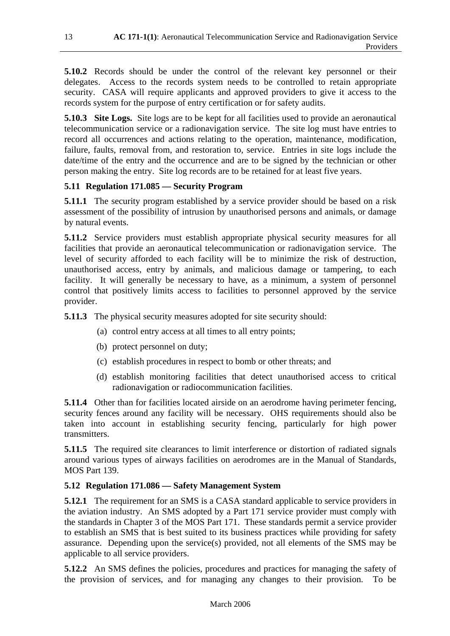**5.10.2** Records should be under the control of the relevant key personnel or their delegates. Access to the records system needs to be controlled to retain appropriate security. CASA will require applicants and approved providers to give it access to the records system for the purpose of entry certification or for safety audits.

**5.10.3 Site Logs.** Site logs are to be kept for all facilities used to provide an aeronautical telecommunication service or a radionavigation service. The site log must have entries to record all occurrences and actions relating to the operation, maintenance, modification, failure, faults, removal from, and restoration to, service. Entries in site logs include the date/time of the entry and the occurrence and are to be signed by the technician or other person making the entry. Site log records are to be retained for at least five years.

#### **5.11 Regulation 171.085 — Security Program**

**5.11.1** The security program established by a service provider should be based on a risk assessment of the possibility of intrusion by unauthorised persons and animals, or damage by natural events.

**5.11.2** Service providers must establish appropriate physical security measures for all facilities that provide an aeronautical telecommunication or radionavigation service. The level of security afforded to each facility will be to minimize the risk of destruction, unauthorised access, entry by animals, and malicious damage or tampering, to each facility. It will generally be necessary to have, as a minimum, a system of personnel control that positively limits access to facilities to personnel approved by the service provider.

**5.11.3** The physical security measures adopted for site security should:

- (a) control entry access at all times to all entry points;
- (b) protect personnel on duty;
- (c) establish procedures in respect to bomb or other threats; and
- (d) establish monitoring facilities that detect unauthorised access to critical radionavigation or radiocommunication facilities.

**5.11.4** Other than for facilities located airside on an aerodrome having perimeter fencing, security fences around any facility will be necessary. OHS requirements should also be taken into account in establishing security fencing, particularly for high power **transmitters** 

**5.11.5** The required site clearances to limit interference or distortion of radiated signals around various types of airways facilities on aerodromes are in the Manual of Standards, MOS Part 139.

#### **5.12 Regulation 171.086 — Safety Management System**

**5.12.1** The requirement for an SMS is a CASA standard applicable to service providers in the aviation industry. An SMS adopted by a Part 171 service provider must comply with the standards in Chapter 3 of the MOS Part 171. These standards permit a service provider to establish an SMS that is best suited to its business practices while providing for safety assurance. Depending upon the service(s) provided, not all elements of the SMS may be applicable to all service providers.

**5.12.2** An SMS defines the policies, procedures and practices for managing the safety of the provision of services, and for managing any changes to their provision. To be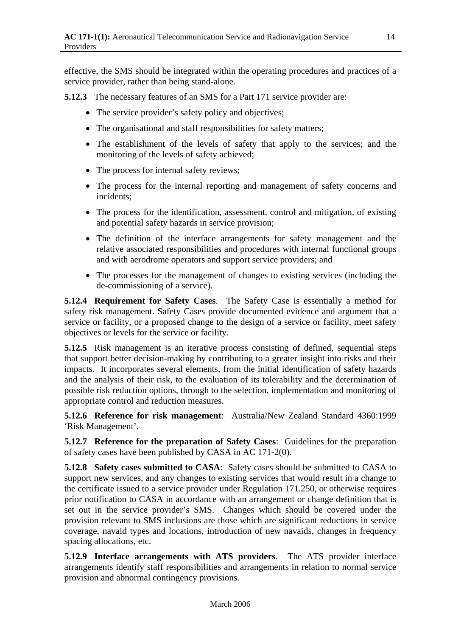effective, the SMS should be integrated within the operating procedures and practices of a service provider, rather than being stand-alone.

**5.12.3** The necessary features of an SMS for a Part 171 service provider are:

- The service provider's safety policy and objectives;
- The organisational and staff responsibilities for safety matters;
- The establishment of the levels of safety that apply to the services; and the monitoring of the levels of safety achieved;
- The process for internal safety reviews;
- The process for the internal reporting and management of safety concerns and incidents;
- The process for the identification, assessment, control and mitigation, of existing and potential safety hazards in service provision;
- The definition of the interface arrangements for safety management and the relative associated responsibilities and procedures with internal functional groups and with aerodrome operators and support service providers; and
- The processes for the management of changes to existing services (including the de-commissioning of a service).

**5.12.4 Requirement for Safety Cases**. The Safety Case is essentially a method for safety risk management. Safety Cases provide documented evidence and argument that a service or facility, or a proposed change to the design of a service or facility, meet safety objectives or levels for the service or facility.

**5.12.5** Risk management is an iterative process consisting of defined, sequential steps that support better decision-making by contributing to a greater insight into risks and their impacts. It incorporates several elements, from the initial identification of safety hazards and the analysis of their risk, to the evaluation of its tolerability and the determination of possible risk reduction options, through to the selection, implementation and monitoring of appropriate control and reduction measures.

**5.12.6 Reference for risk management**: Australia/New Zealand Standard 4360:1999 'Risk Management'.

**5.12.7 Reference for the preparation of Safety Cases**: Guidelines for the preparation of safety cases have been published by CASA in AC 171-2(0).

**5.12.8 Safety cases submitted to CASA**: Safety cases should be submitted to CASA to support new services, and any changes to existing services that would result in a change to the certificate issued to a service provider under Regulation 171.250, or otherwise requires prior notification to CASA in accordance with an arrangement or change definition that is set out in the service provider's SMS. Changes which should be covered under the provision relevant to SMS inclusions are those which are significant reductions in service coverage, navaid types and locations, introduction of new navaids, changes in frequency spacing allocations, etc.

**5.12.9 Interface arrangements with ATS providers**. The ATS provider interface arrangements identify staff responsibilities and arrangements in relation to normal service provision and abnormal contingency provisions.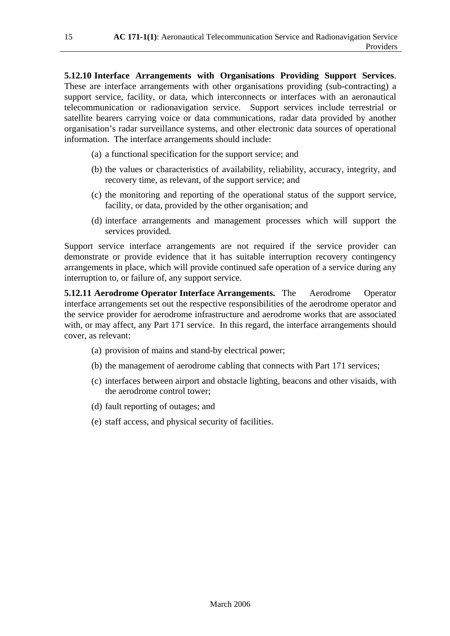**5.12.10 Interface Arrangements with Organisations Providing Support Services**. These are interface arrangements with other organisations providing (sub-contracting) a support service, facility, or data, which interconnects or interfaces with an aeronautical telecommunication or radionavigation service. Support services include terrestrial or satellite bearers carrying voice or data communications, radar data provided by another organisation's radar surveillance systems, and other electronic data sources of operational information. The interface arrangements should include:

- (a) a functional specification for the support service; and
- (b) the values or characteristics of availability, reliability, accuracy, integrity, and recovery time, as relevant, of the support service; and
- (c) the monitoring and reporting of the operational status of the support service, facility, or data, provided by the other organisation; and
- (d) interface arrangements and management processes which will support the services provided.

Support service interface arrangements are not required if the service provider can demonstrate or provide evidence that it has suitable interruption recovery contingency arrangements in place, which will provide continued safe operation of a service during any interruption to, or failure of, any support service.

**5.12.11 Aerodrome Operator Interface Arrangements.** The Aerodrome Operator interface arrangements set out the respective responsibilities of the aerodrome operator and the service provider for aerodrome infrastructure and aerodrome works that are associated with, or may affect, any Part 171 service. In this regard, the interface arrangements should cover, as relevant:

- (a) provision of mains and stand-by electrical power;
- (b) the management of aerodrome cabling that connects with Part 171 services;
- (c) interfaces between airport and obstacle lighting, beacons and other visaids, with the aerodrome control tower;
- (d) fault reporting of outages; and
- (e) staff access, and physical security of facilities.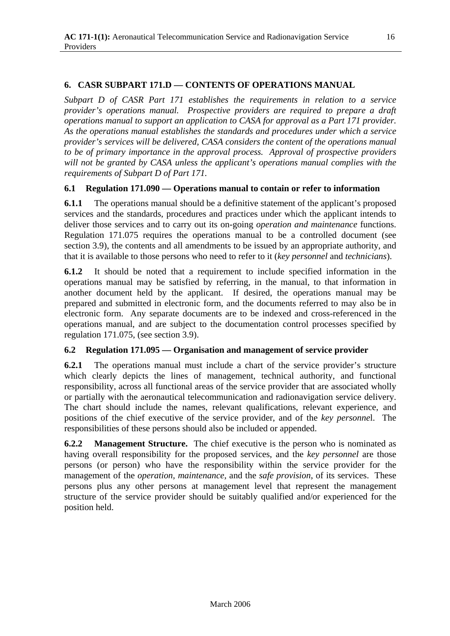#### **6. CASR SUBPART 171.D — CONTENTS OF OPERATIONS MANUAL**

*Subpart D of CASR Part 171 establishes the requirements in relation to a service provider's operations manual. Prospective providers are required to prepare a draft operations manual to support an application to CASA for approval as a Part 171 provider. As the operations manual establishes the standards and procedures under which a service provider's services will be delivered, CASA considers the content of the operations manual to be of primary importance in the approval process. Approval of prospective providers will not be granted by CASA unless the applicant's operations manual complies with the requirements of Subpart D of Part 171.* 

#### **6.1 Regulation 171.090 — Operations manual to contain or refer to information**

**6.1.1** The operations manual should be a definitive statement of the applicant's proposed services and the standards, procedures and practices under which the applicant intends to deliver those services and to carry out its on-going *operation and maintenance* functions. Regulation 171.075 requires the operations manual to be a controlled document (see section 3.9), the contents and all amendments to be issued by an appropriate authority, and that it is available to those persons who need to refer to it (*key personnel* and *technicians*).

**6.1.2** It should be noted that a requirement to include specified information in the operations manual may be satisfied by referring, in the manual, to that information in another document held by the applicant. If desired, the operations manual may be prepared and submitted in electronic form, and the documents referred to may also be in electronic form. Any separate documents are to be indexed and cross-referenced in the operations manual, and are subject to the documentation control processes specified by regulation 171.075, (see section 3.9).

#### **6.2 Regulation 171.095 — Organisation and management of service provider**

**6.2.1** The operations manual must include a chart of the service provider's structure which clearly depicts the lines of management, technical authority, and functional responsibility, across all functional areas of the service provider that are associated wholly or partially with the aeronautical telecommunication and radionavigation service delivery. The chart should include the names, relevant qualifications, relevant experience, and positions of the chief executive of the service provider, and of the *key personne*l. The responsibilities of these persons should also be included or appended.

**6.2.2 Management Structure.** The chief executive is the person who is nominated as having overall responsibility for the proposed services, and the *key personnel* are those persons (or person) who have the responsibility within the service provider for the management of the *operation, maintenance,* and the *safe provision*, of its services. These persons plus any other persons at management level that represent the management structure of the service provider should be suitably qualified and/or experienced for the position held.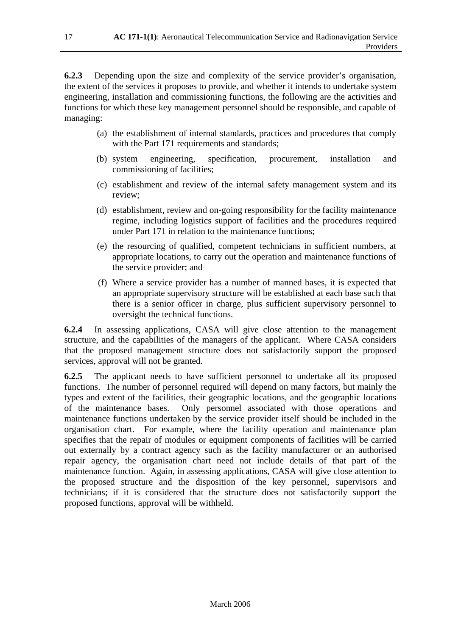**6.2.3** Depending upon the size and complexity of the service provider's organisation, the extent of the services it proposes to provide, and whether it intends to undertake system engineering, installation and commissioning functions, the following are the activities and functions for which these key management personnel should be responsible, and capable of managing:

- (a) the establishment of internal standards, practices and procedures that comply with the Part 171 requirements and standards;
- (b) system engineering, specification, procurement, installation and commissioning of facilities;
- (c) establishment and review of the internal safety management system and its review;
- (d) establishment, review and on-going responsibility for the facility maintenance regime, including logistics support of facilities and the procedures required under Part 171 in relation to the maintenance functions;
- (e) the resourcing of qualified, competent technicians in sufficient numbers, at appropriate locations, to carry out the operation and maintenance functions of the service provider; and
- (f) Where a service provider has a number of manned bases, it is expected that an appropriate supervisory structure will be established at each base such that there is a senior officer in charge, plus sufficient supervisory personnel to oversight the technical functions.

**6.2.4** In assessing applications, CASA will give close attention to the management structure, and the capabilities of the managers of the applicant. Where CASA considers that the proposed management structure does not satisfactorily support the proposed services, approval will not be granted.

**6.2.5** The applicant needs to have sufficient personnel to undertake all its proposed functions. The number of personnel required will depend on many factors, but mainly the types and extent of the facilities, their geographic locations, and the geographic locations of the maintenance bases. Only personnel associated with those operations and maintenance functions undertaken by the service provider itself should be included in the organisation chart. For example, where the facility operation and maintenance plan specifies that the repair of modules or equipment components of facilities will be carried out externally by a contract agency such as the facility manufacturer or an authorised repair agency, the organisation chart need not include details of that part of the maintenance function. Again, in assessing applications, CASA will give close attention to the proposed structure and the disposition of the key personnel, supervisors and technicians; if it is considered that the structure does not satisfactorily support the proposed functions, approval will be withheld.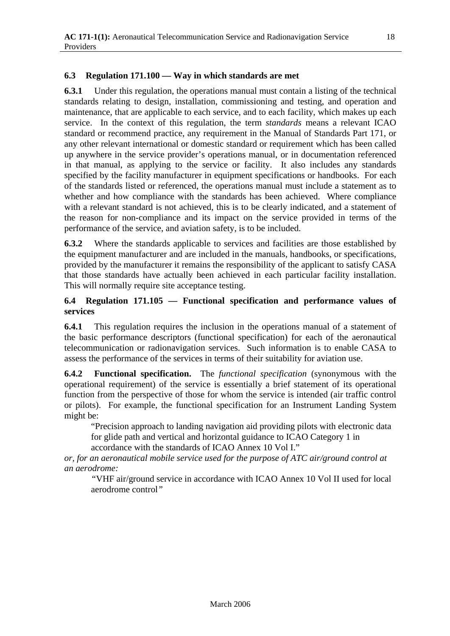#### **6.3 Regulation 171.100 — Way in which standards are met**

**6.3.1** Under this regulation, the operations manual must contain a listing of the technical standards relating to design, installation, commissioning and testing, and operation and maintenance, that are applicable to each service, and to each facility, which makes up each service. In the context of this regulation, the term *standards* means a relevant ICAO standard or recommend practice, any requirement in the Manual of Standards Part 171, or any other relevant international or domestic standard or requirement which has been called up anywhere in the service provider's operations manual, or in documentation referenced in that manual, as applying to the service or facility. It also includes any standards specified by the facility manufacturer in equipment specifications or handbooks. For each of the standards listed or referenced, the operations manual must include a statement as to whether and how compliance with the standards has been achieved. Where compliance with a relevant standard is not achieved, this is to be clearly indicated, and a statement of the reason for non-compliance and its impact on the service provided in terms of the performance of the service, and aviation safety, is to be included.

**6.3.2** Where the standards applicable to services and facilities are those established by the equipment manufacturer and are included in the manuals, handbooks, or specifications, provided by the manufacturer it remains the responsibility of the applicant to satisfy CASA that those standards have actually been achieved in each particular facility installation. This will normally require site acceptance testing.

#### **6.4 Regulation 171.105 — Functional specification and performance values of services**

**6.4.1** This regulation requires the inclusion in the operations manual of a statement of the basic performance descriptors (functional specification) for each of the aeronautical telecommunication or radionavigation services. Such information is to enable CASA to assess the performance of the services in terms of their suitability for aviation use.

**6.4.2 Functional specification.** The *functional specification* (synonymous with the operational requirement) of the service is essentially a brief statement of its operational function from the perspective of those for whom the service is intended (air traffic control or pilots). For example, the functional specification for an Instrument Landing System might be:

"Precision approach to landing navigation aid providing pilots with electronic data for glide path and vertical and horizontal guidance to ICAO Category 1 in

accordance with the standards of ICAO Annex 10 Vol I."

*or, for an aeronautical mobile service used for the purpose of ATC air/ground control at an aerodrome:* 

*"*VHF air/ground service in accordance with ICAO Annex 10 Vol II used for local aerodrome control*"*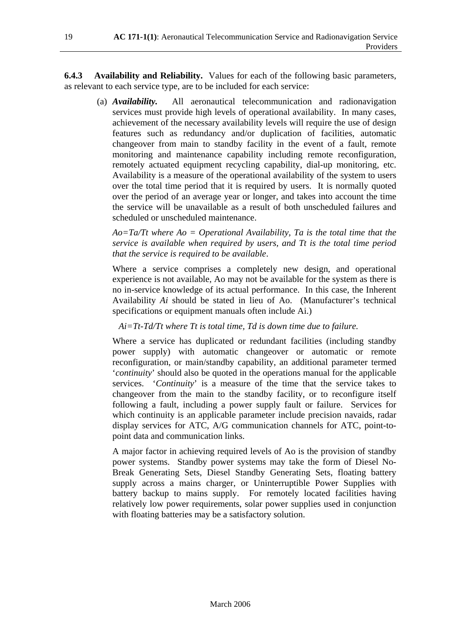**6.4.3 Availability and Reliability.** Values for each of the following basic parameters, as relevant to each service type, are to be included for each service:

 (a) *Availability.* All aeronautical telecommunication and radionavigation services must provide high levels of operational availability. In many cases, achievement of the necessary availability levels will require the use of design features such as redundancy and/or duplication of facilities, automatic changeover from main to standby facility in the event of a fault, remote monitoring and maintenance capability including remote reconfiguration, remotely actuated equipment recycling capability, dial-up monitoring, etc. Availability is a measure of the operational availability of the system to users over the total time period that it is required by users. It is normally quoted over the period of an average year or longer, and takes into account the time the service will be unavailable as a result of both unscheduled failures and scheduled or unscheduled maintenance.

*Ao=Ta/Tt where Ao = Operational Availability, Ta is the total time that the service is available when required by users, and Tt is the total time period that the service is required to be available*.

Where a service comprises a completely new design, and operational experience is not available, Ao may not be available for the system as there is no in-service knowledge of its actual performance. In this case, the Inherent Availability *Ai* should be stated in lieu of Ao. (Manufacturer's technical specifications or equipment manuals often include Ai.)

#### *Ai=Tt-Td/Tt where Tt is total time, Td is down time due to failure.*

Where a service has duplicated or redundant facilities (including standby power supply) with automatic changeover or automatic or remote reconfiguration, or main/standby capability, an additional parameter termed '*continuity*' should also be quoted in the operations manual for the applicable services. '*Continuity*' is a measure of the time that the service takes to changeover from the main to the standby facility, or to reconfigure itself following a fault, including a power supply fault or failure. Services for which continuity is an applicable parameter include precision navaids, radar display services for ATC, A/G communication channels for ATC, point-topoint data and communication links.

A major factor in achieving required levels of Ao is the provision of standby power systems. Standby power systems may take the form of Diesel No-Break Generating Sets, Diesel Standby Generating Sets, floating battery supply across a mains charger, or Uninterruptible Power Supplies with battery backup to mains supply. For remotely located facilities having relatively low power requirements, solar power supplies used in conjunction with floating batteries may be a satisfactory solution.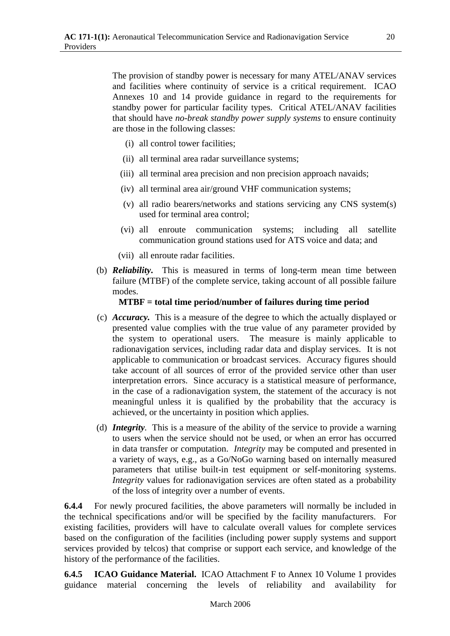The provision of standby power is necessary for many ATEL/ANAV services and facilities where continuity of service is a critical requirement. ICAO Annexes 10 and 14 provide guidance in regard to the requirements for standby power for particular facility types. Critical ATEL/ANAV facilities that should have *no-break standby power supply systems* to ensure continuity are those in the following classes:

- (i) all control tower facilities;
- (ii) all terminal area radar surveillance systems;
- (iii) all terminal area precision and non precision approach navaids;
- (iv) all terminal area air/ground VHF communication systems;
- (v) all radio bearers/networks and stations servicing any CNS system(s) used for terminal area control;
- (vi) all enroute communication systems; including all satellite communication ground stations used for ATS voice and data; and
- (vii) all enroute radar facilities.
- (b) *Reliability***.** This is measured in terms of long-term mean time between failure (MTBF) of the complete service, taking account of all possible failure modes.

#### **MTBF = total time period/number of failures during time period**

- (c) *Accuracy.* This is a measure of the degree to which the actually displayed or presented value complies with the true value of any parameter provided by the system to operational users. The measure is mainly applicable to radionavigation services, including radar data and display services. It is not applicable to communication or broadcast services. Accuracy figures should take account of all sources of error of the provided service other than user interpretation errors. Since accuracy is a statistical measure of performance, in the case of a radionavigation system, the statement of the accuracy is not meaningful unless it is qualified by the probability that the accuracy is achieved, or the uncertainty in position which applies.
- (d) *Integrity.* This is a measure of the ability of the service to provide a warning to users when the service should not be used, or when an error has occurred in data transfer or computation. *Integrity* may be computed and presented in a variety of ways, e.g., as a Go/NoGo warning based on internally measured parameters that utilise built-in test equipment or self-monitoring systems. *Integrity* values for radionavigation services are often stated as a probability of the loss of integrity over a number of events.

**6.4.4** For newly procured facilities, the above parameters will normally be included in the technical specifications and/or will be specified by the facility manufacturers. For existing facilities, providers will have to calculate overall values for complete services based on the configuration of the facilities (including power supply systems and support services provided by telcos) that comprise or support each service, and knowledge of the history of the performance of the facilities.

**6.4.5 ICAO Guidance Material.** ICAO Attachment F to Annex 10 Volume 1 provides guidance material concerning the levels of reliability and availability for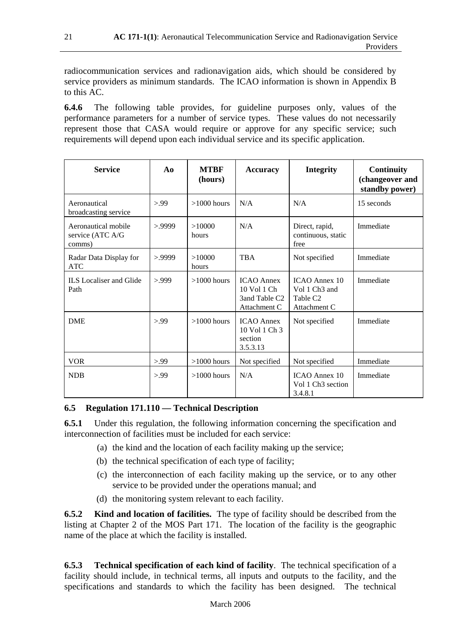radiocommunication services and radionavigation aids, which should be considered by service providers as minimum standards. The ICAO information is shown in Appendix B to this AC.

**6.4.6** The following table provides, for guideline purposes only, values of the performance parameters for a number of service types. These values do not necessarily represent those that CASA would require or approve for any specific service; such requirements will depend upon each individual service and its specific application.

| <b>Service</b>                                    | Ao    | <b>MTBF</b><br>(hours) | <b>Accuracy</b>                                                   | <b>Integrity</b>                                                                          | Continuity<br>(changeover and<br>standby power) |
|---------------------------------------------------|-------|------------------------|-------------------------------------------------------------------|-------------------------------------------------------------------------------------------|-------------------------------------------------|
| Aeronautical<br>broadcasting service              | > 99  | $>1000$ hours          | N/A                                                               | N/A                                                                                       | 15 seconds                                      |
| Aeronautical mobile<br>service (ATC A/G<br>comms) | >9999 | >10000<br>hours        | N/A                                                               | Direct, rapid,<br>continuous, static<br>free                                              | Immediate                                       |
| Radar Data Display for<br><b>ATC</b>              | >9999 | >10000<br>hours        | <b>TBA</b>                                                        | Not specified                                                                             | Immediate                                       |
| <b>ILS</b> Localiser and Glide<br>Path            | > 999 | $>1000$ hours          | <b>ICAO</b> Annex<br>10 Vol 1 Ch<br>3and Table C2<br>Attachment C | <b>ICAO</b> Annex 10<br>Vol 1 Ch <sub>3</sub> and<br>Table C <sub>2</sub><br>Attachment C | Immediate                                       |
| <b>DME</b>                                        | > 99  | $>1000$ hours          | <b>ICAO</b> Annex<br>10 Vol 1 Ch 3<br>section<br>3.5.3.13         | Not specified                                                                             | Immediate                                       |
| <b>VOR</b>                                        | > 99  | $>1000$ hours          | Not specified                                                     | Not specified                                                                             | Immediate                                       |
| <b>NDB</b>                                        | > 99  | $>1000$ hours          | N/A                                                               | ICAO Annex 10<br>Vol 1 Ch <sub>3</sub> section<br>3.4.8.1                                 | Immediate                                       |

#### **6.5 Regulation 171.110 — Technical Description**

**6.5.1** Under this regulation, the following information concerning the specification and interconnection of facilities must be included for each service:

- (a) the kind and the location of each facility making up the service;
- (b) the technical specification of each type of facility;
- (c) the interconnection of each facility making up the service, or to any other service to be provided under the operations manual; and
- (d) the monitoring system relevant to each facility.

**6.5.2 Kind and location of facilities.** The type of facility should be described from the listing at Chapter 2 of the MOS Part 171. The location of the facility is the geographic name of the place at which the facility is installed.

**6.5.3 Technical specification of each kind of facility**. The technical specification of a facility should include, in technical terms, all inputs and outputs to the facility, and the specifications and standards to which the facility has been designed. The technical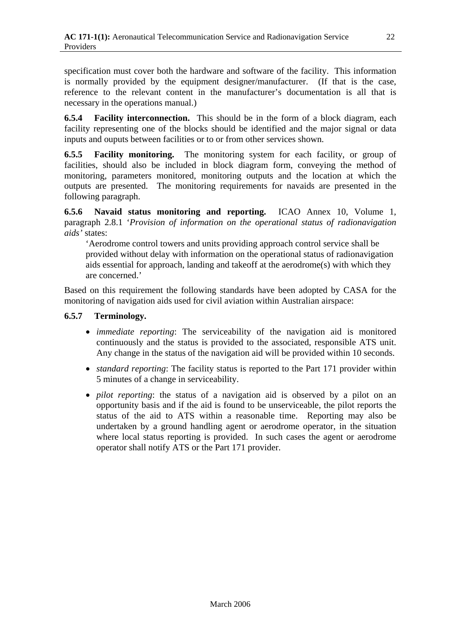specification must cover both the hardware and software of the facility. This information is normally provided by the equipment designer/manufacturer. (If that is the case, reference to the relevant content in the manufacturer's documentation is all that is necessary in the operations manual.)

**6.5.4 Facility interconnection.** This should be in the form of a block diagram, each facility representing one of the blocks should be identified and the major signal or data inputs and ouputs between facilities or to or from other services shown.

**6.5.5 Facility monitoring.** The monitoring system for each facility, or group of facilities, should also be included in block diagram form, conveying the method of monitoring, parameters monitored, monitoring outputs and the location at which the outputs are presented. The monitoring requirements for navaids are presented in the following paragraph.

**6.5.6 Navaid status monitoring and reporting.** ICAO Annex 10, Volume 1, paragraph 2.8.1 '*Provision of information on the operational status of radionavigation aids'* states:

'Aerodrome control towers and units providing approach control service shall be provided without delay with information on the operational status of radionavigation aids essential for approach, landing and takeoff at the aerodrome(s) with which they are concerned.'

Based on this requirement the following standards have been adopted by CASA for the monitoring of navigation aids used for civil aviation within Australian airspace:

#### **6.5.7 Terminology.**

- *immediate reporting*: The serviceability of the navigation aid is monitored continuously and the status is provided to the associated, responsible ATS unit. Any change in the status of the navigation aid will be provided within 10 seconds.
- *standard reporting*: The facility status is reported to the Part 171 provider within 5 minutes of a change in serviceability.
- *pilot reporting*: the status of a navigation aid is observed by a pilot on an opportunity basis and if the aid is found to be unserviceable, the pilot reports the status of the aid to ATS within a reasonable time. Reporting may also be undertaken by a ground handling agent or aerodrome operator, in the situation where local status reporting is provided. In such cases the agent or aerodrome operator shall notify ATS or the Part 171 provider.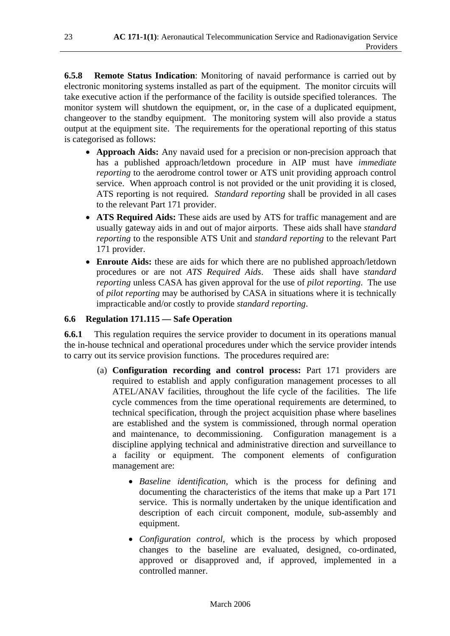**6.5.8 Remote Status Indication**: Monitoring of navaid performance is carried out by electronic monitoring systems installed as part of the equipment. The monitor circuits will take executive action if the performance of the facility is outside specified tolerances. The monitor system will shutdown the equipment, or, in the case of a duplicated equipment, changeover to the standby equipment. The monitoring system will also provide a status output at the equipment site. The requirements for the operational reporting of this status is categorised as follows:

- **Approach Aids:** Any navaid used for a precision or non-precision approach that has a published approach/letdown procedure in AIP must have *immediate reporting* to the aerodrome control tower or ATS unit providing approach control service. When approach control is not provided or the unit providing it is closed, ATS reporting is not required*. Standard reporting* shall be provided in all cases to the relevant Part 171 provider.
- **ATS Required Aids:** These aids are used by ATS for traffic management and are usually gateway aids in and out of major airports. These aids shall have *standard reporting* to the responsible ATS Unit and *standard reporting* to the relevant Part 171 provider.
- **Enroute Aids:** these are aids for which there are no published approach/letdown procedures or are not *ATS Required Aids*. These aids shall have *standard reporting* unless CASA has given approval for the use of *pilot reporting*. The use of *pilot reporting* may be authorised by CASA in situations where it is technically impracticable and/or costly to provide *standard reporting*.

#### **6.6 Regulation 171.115 — Safe Operation**

**6.6.1** This regulation requires the service provider to document in its operations manual the in-house technical and operational procedures under which the service provider intends to carry out its service provision functions. The procedures required are:

- (a) **Configuration recording and control process:** Part 171 providers are required to establish and apply configuration management processes to all ATEL/ANAV facilities, throughout the life cycle of the facilities. The life cycle commences from the time operational requirements are determined, to technical specification, through the project acquisition phase where baselines are established and the system is commissioned, through normal operation and maintenance, to decommissioning. Configuration management is a discipline applying technical and administrative direction and surveillance to a facility or equipment. The component elements of configuration management are:
	- *Baseline identification,* which is the process for defining and documenting the characteristics of the items that make up a Part 171 service. This is normally undertaken by the unique identification and description of each circuit component, module, sub-assembly and equipment.
	- *Configuration control,* which is the process by which proposed changes to the baseline are evaluated, designed, co-ordinated, approved or disapproved and, if approved, implemented in a controlled manner.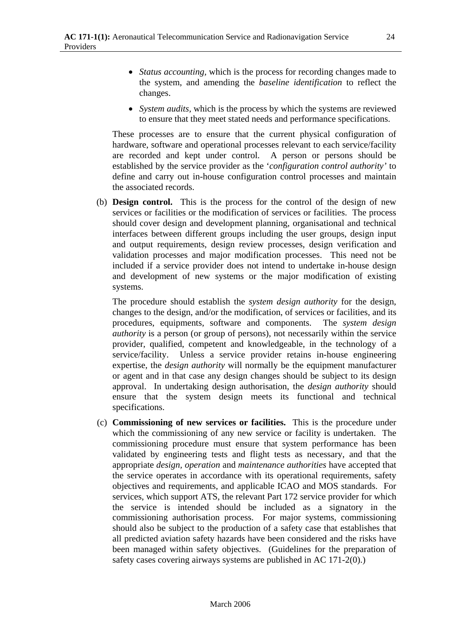- *Status accounting,* which is the process for recording changes made to the system, and amending the *baseline identification* to reflect the changes.
- *System audits,* which is the process by which the systems are reviewed to ensure that they meet stated needs and performance specifications.

These processes are to ensure that the current physical configuration of hardware, software and operational processes relevant to each service/facility are recorded and kept under control. A person or persons should be established by the service provider as the '*configuration control authority'* to define and carry out in-house configuration control processes and maintain the associated records.

 (b) **Design control.** This is the process for the control of the design of new services or facilities or the modification of services or facilities. The process should cover design and development planning, organisational and technical interfaces between different groups including the user groups, design input and output requirements, design review processes, design verification and validation processes and major modification processes. This need not be included if a service provider does not intend to undertake in-house design and development of new systems or the major modification of existing systems.

 The procedure should establish the *system design authority* for the design, changes to the design, and/or the modification, of services or facilities, and its procedures, equipments, software and components. The *system design authority* is a person (or group of persons), not necessarily within the service provider, qualified, competent and knowledgeable, in the technology of a service/facility. Unless a service provider retains in-house engineering expertise, the *design authority* will normally be the equipment manufacturer or agent and in that case any design changes should be subject to its design approval. In undertaking design authorisation, the *design authority* should ensure that the system design meets its functional and technical specifications.

 (c) **Commissioning of new services or facilities.** This is the procedure under which the commissioning of any new service or facility is undertaken. The commissioning procedure must ensure that system performance has been validated by engineering tests and flight tests as necessary, and that the appropriate *design, operation* and *maintenance authorities* have accepted that the service operates in accordance with its operational requirements, safety objectives and requirements, and applicable ICAO and MOS standards. For services, which support ATS, the relevant Part 172 service provider for which the service is intended should be included as a signatory in the commissioning authorisation process. For major systems, commissioning should also be subject to the production of a safety case that establishes that all predicted aviation safety hazards have been considered and the risks have been managed within safety objectives. (Guidelines for the preparation of safety cases covering airways systems are published in AC 171-2(0).)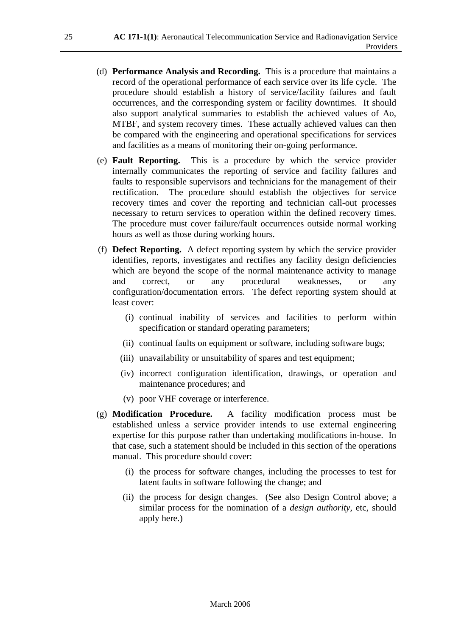- (d) **Performance Analysis and Recording.** This is a procedure that maintains a record of the operational performance of each service over its life cycle. The procedure should establish a history of service/facility failures and fault occurrences, and the corresponding system or facility downtimes. It should also support analytical summaries to establish the achieved values of Ao, MTBF, and system recovery times. These actually achieved values can then be compared with the engineering and operational specifications for services and facilities as a means of monitoring their on-going performance.
- (e) **Fault Reporting.** This is a procedure by which the service provider internally communicates the reporting of service and facility failures and faults to responsible supervisors and technicians for the management of their rectification. The procedure should establish the objectives for service recovery times and cover the reporting and technician call-out processes necessary to return services to operation within the defined recovery times. The procedure must cover failure/fault occurrences outside normal working hours as well as those during working hours.
- (f) **Defect Reporting.** A defect reporting system by which the service provider identifies, reports, investigates and rectifies any facility design deficiencies which are beyond the scope of the normal maintenance activity to manage and correct, or any procedural weaknesses, or any configuration/documentation errors. The defect reporting system should at least cover:
	- (i) continual inability of services and facilities to perform within specification or standard operating parameters;
	- (ii) continual faults on equipment or software, including software bugs;
	- (iii) unavailability or unsuitability of spares and test equipment;
	- (iv) incorrect configuration identification, drawings, or operation and maintenance procedures; and
	- (v) poor VHF coverage or interference.
- (g) **Modification Procedure.** A facility modification process must be established unless a service provider intends to use external engineering expertise for this purpose rather than undertaking modifications in-house. In that case, such a statement should be included in this section of the operations manual. This procedure should cover:
	- (i) the process for software changes, including the processes to test for latent faults in software following the change; and
	- (ii) the process for design changes. (See also Design Control above; a similar process for the nomination of a *design authority*, etc, should apply here.)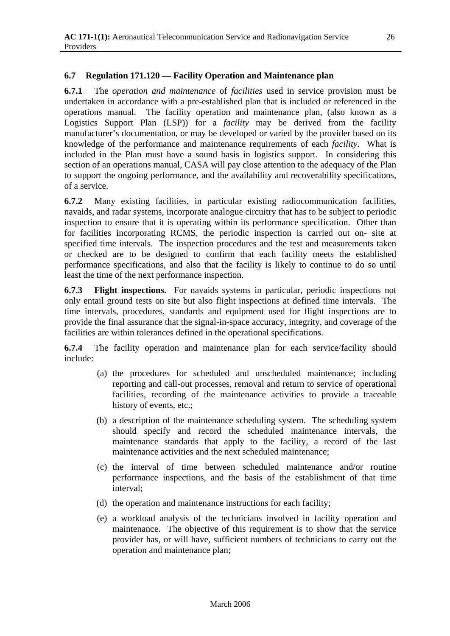#### **6.7 Regulation 171.120 — Facility Operation and Maintenance plan**

**6.7.1** The *operation and maintenance* of *facilities* used in service provision must be undertaken in accordance with a pre-established plan that is included or referenced in the operations manual. The facility operation and maintenance plan, (also known as a Logistics Support Plan (LSP)) for a *facility* may be derived from the facility manufacturer's documentation, or may be developed or varied by the provider based on its knowledge of the performance and maintenance requirements of each *facility*. What is included in the Plan must have a sound basis in logistics support. In considering this section of an operations manual, CASA will pay close attention to the adequacy of the Plan to support the ongoing performance, and the availability and recoverability specifications, of a service.

**6.7.2** Many existing facilities, in particular existing radiocommunication facilities, navaids, and radar systems, incorporate analogue circuitry that has to be subject to periodic inspection to ensure that it is operating within its performance specification. Other than for facilities incorporating RCMS, the periodic inspection is carried out on- site at specified time intervals. The inspection procedures and the test and measurements taken or checked are to be designed to confirm that each facility meets the established performance specifications, and also that the facility is likely to continue to do so until least the time of the next performance inspection.

**6.7.3 Flight inspections.** For navaids systems in particular, periodic inspections not only entail ground tests on site but also flight inspections at defined time intervals. The time intervals, procedures, standards and equipment used for flight inspections are to provide the final assurance that the signal-in-space accuracy, integrity, and coverage of the facilities are within tolerances defined in the operational specifications.

**6.7.4** The facility operation and maintenance plan for each service/facility should include:

- (a) the procedures for scheduled and unscheduled maintenance; including reporting and call-out processes, removal and return to service of operational facilities, recording of the maintenance activities to provide a traceable history of events, etc.;
- (b) a description of the maintenance scheduling system. The scheduling system should specify and record the scheduled maintenance intervals, the maintenance standards that apply to the facility, a record of the last maintenance activities and the next scheduled maintenance;
- (c) the interval of time between scheduled maintenance and/or routine performance inspections, and the basis of the establishment of that time interval;
- (d) the operation and maintenance instructions for each facility;
- (e) a workload analysis of the technicians involved in facility operation and maintenance. The objective of this requirement is to show that the service provider has, or will have, sufficient numbers of technicians to carry out the operation and maintenance plan;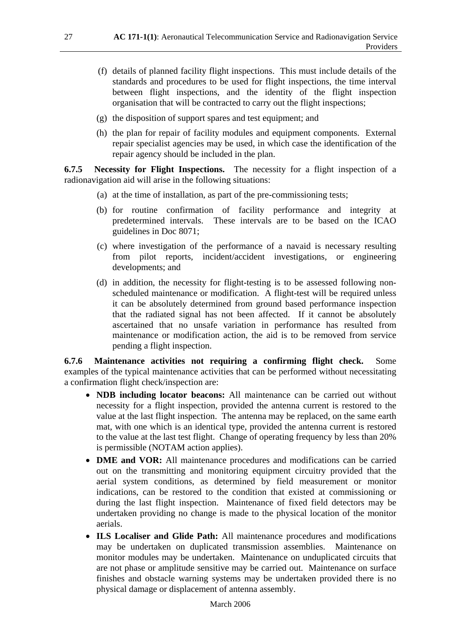- (f) details of planned facility flight inspections. This must include details of the standards and procedures to be used for flight inspections, the time interval between flight inspections, and the identity of the flight inspection organisation that will be contracted to carry out the flight inspections;
- (g) the disposition of support spares and test equipment; and
- (h) the plan for repair of facility modules and equipment components. External repair specialist agencies may be used, in which case the identification of the repair agency should be included in the plan.

**6.7.5 Necessity for Flight Inspections.** The necessity for a flight inspection of a radionavigation aid will arise in the following situations:

- (a) at the time of installation, as part of the pre-commissioning tests;
- (b) for routine confirmation of facility performance and integrity at predetermined intervals. These intervals are to be based on the ICAO guidelines in Doc 8071;
- (c) where investigation of the performance of a navaid is necessary resulting from pilot reports, incident/accident investigations, or engineering developments; and
- (d) in addition, the necessity for flight-testing is to be assessed following nonscheduled maintenance or modification. A flight-test will be required unless it can be absolutely determined from ground based performance inspection that the radiated signal has not been affected. If it cannot be absolutely ascertained that no unsafe variation in performance has resulted from maintenance or modification action, the aid is to be removed from service pending a flight inspection.

**6.7.6 Maintenance activities not requiring a confirming flight check.** Some examples of the typical maintenance activities that can be performed without necessitating a confirmation flight check/inspection are:

- **NDB including locator beacons:** All maintenance can be carried out without necessity for a flight inspection, provided the antenna current is restored to the value at the last flight inspection. The antenna may be replaced, on the same earth mat, with one which is an identical type, provided the antenna current is restored to the value at the last test flight. Change of operating frequency by less than 20% is permissible (NOTAM action applies).
- **DME and VOR:** All maintenance procedures and modifications can be carried out on the transmitting and monitoring equipment circuitry provided that the aerial system conditions, as determined by field measurement or monitor indications, can be restored to the condition that existed at commissioning or during the last flight inspection. Maintenance of fixed field detectors may be undertaken providing no change is made to the physical location of the monitor aerials.
- **ILS Localiser and Glide Path:** All maintenance procedures and modifications may be undertaken on duplicated transmission assemblies. Maintenance on monitor modules may be undertaken. Maintenance on unduplicated circuits that are not phase or amplitude sensitive may be carried out. Maintenance on surface finishes and obstacle warning systems may be undertaken provided there is no physical damage or displacement of antenna assembly.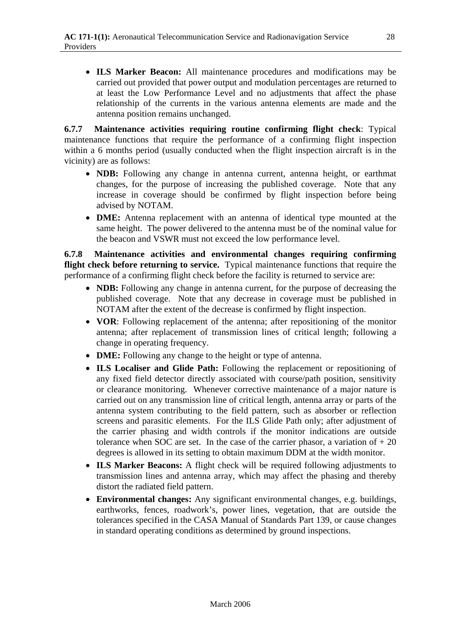• **ILS Marker Beacon:** All maintenance procedures and modifications may be carried out provided that power output and modulation percentages are returned to at least the Low Performance Level and no adjustments that affect the phase relationship of the currents in the various antenna elements are made and the antenna position remains unchanged.

**6.7.7 Maintenance activities requiring routine confirming flight check**: Typical maintenance functions that require the performance of a confirming flight inspection within a 6 months period (usually conducted when the flight inspection aircraft is in the vicinity) are as follows:

- **NDB:** Following any change in antenna current, antenna height, or earthmat changes, for the purpose of increasing the published coverage. Note that any increase in coverage should be confirmed by flight inspection before being advised by NOTAM.
- **DME:** Antenna replacement with an antenna of identical type mounted at the same height. The power delivered to the antenna must be of the nominal value for the beacon and VSWR must not exceed the low performance level.

**6.7.8 Maintenance activities and environmental changes requiring confirming flight check before returning to service.** Typical maintenance functions that require the performance of a confirming flight check before the facility is returned to service are:

- **NDB:** Following any change in antenna current, for the purpose of decreasing the published coverage. Note that any decrease in coverage must be published in NOTAM after the extent of the decrease is confirmed by flight inspection.
- **VOR**: Following replacement of the antenna; after repositioning of the monitor antenna; after replacement of transmission lines of critical length; following a change in operating frequency.
- **DME:** Following any change to the height or type of antenna.
- **ILS Localiser and Glide Path:** Following the replacement or repositioning of any fixed field detector directly associated with course/path position, sensitivity or clearance monitoring. Whenever corrective maintenance of a major nature is carried out on any transmission line of critical length, antenna array or parts of the antenna system contributing to the field pattern, such as absorber or reflection screens and parasitic elements. For the ILS Glide Path only; after adjustment of the carrier phasing and width controls if the monitor indications are outside tolerance when SOC are set. In the case of the carrier phasor, a variation of  $+20$ degrees is allowed in its setting to obtain maximum DDM at the width monitor.
- **ILS Marker Beacons:** A flight check will be required following adjustments to transmission lines and antenna array, which may affect the phasing and thereby distort the radiated field pattern.
- **Environmental changes:** Any significant environmental changes, e.g. buildings, earthworks, fences, roadwork's, power lines, vegetation, that are outside the tolerances specified in the CASA Manual of Standards Part 139, or cause changes in standard operating conditions as determined by ground inspections.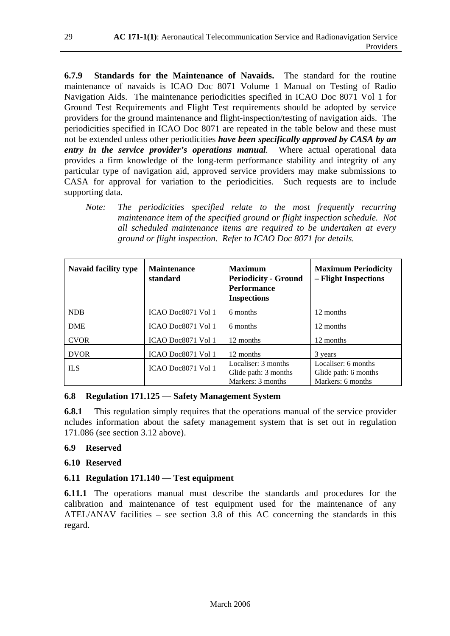**6.7.9 Standards for the Maintenance of Navaids.** The standard for the routine maintenance of navaids is ICAO Doc 8071 Volume 1 Manual on Testing of Radio Navigation Aids. The maintenance periodicities specified in ICAO Doc 8071 Vol 1 for Ground Test Requirements and Flight Test requirements should be adopted by service providers for the ground maintenance and flight-inspection/testing of navigation aids. The periodicities specified in ICAO Doc 8071 are repeated in the table below and these must not be extended unless other periodicities *have been specifically approved by CASA by an entry in the service provider's operations manual.* Where actual operational data provides a firm knowledge of the long-term performance stability and integrity of any particular type of navigation aid, approved service providers may make submissions to CASA for approval for variation to the periodicities. Such requests are to include supporting data.

*Note: The periodicities specified relate to the most frequently recurring maintenance item of the specified ground or flight inspection schedule. Not all scheduled maintenance items are required to be undertaken at every ground or flight inspection. Refer to ICAO Doc 8071 for details.* 

| <b>Navaid facility type</b> | <b>Maintenance</b><br>standard | <b>Maximum</b><br><b>Periodicity - Ground</b><br><b>Performance</b><br><b>Inspections</b> | <b>Maximum Periodicity</b><br>- Flight Inspections               |
|-----------------------------|--------------------------------|-------------------------------------------------------------------------------------------|------------------------------------------------------------------|
| <b>NDB</b>                  | ICAO Doc8071 Vol 1             | 6 months                                                                                  | 12 months                                                        |
| <b>DME</b>                  | ICAO Doc8071 Vol 1             | 6 months                                                                                  | 12 months                                                        |
| <b>CVOR</b>                 | ICAO Doc8071 Vol 1             | 12 months                                                                                 | 12 months                                                        |
| <b>DVOR</b>                 | ICAO Doc8071 Vol 1             | 12 months                                                                                 | 3 years                                                          |
| <b>ILS</b>                  | ICAO Doc8071 Vol 1             | Localiser: 3 months<br>Glide path: 3 months<br>Markers: 3 months                          | Localiser: 6 months<br>Glide path: 6 months<br>Markers: 6 months |

#### **6.8 Regulation 171.125 — Safety Management System**

**6.8.1** This regulation simply requires that the operations manual of the service provider ncludes information about the safety management system that is set out in regulation 171.086 (see section 3.12 above).

#### **6.9 Reserved**

#### **6.10 Reserved**

#### **6.11 Regulation 171.140 — Test equipment**

**6.11.1** The operations manual must describe the standards and procedures for the calibration and maintenance of test equipment used for the maintenance of any ATEL/ANAV facilities – see section 3.8 of this AC concerning the standards in this regard.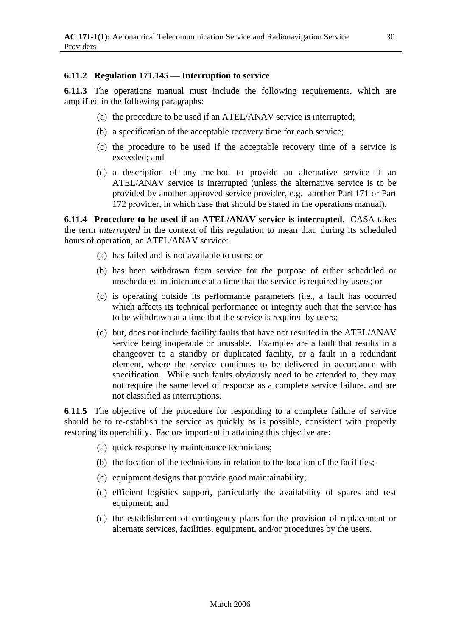#### **6.11.2 Regulation 171.145 — Interruption to service**

**6.11.3** The operations manual must include the following requirements, which are amplified in the following paragraphs:

- (a) the procedure to be used if an ATEL/ANAV service is interrupted;
- (b) a specification of the acceptable recovery time for each service;
- (c) the procedure to be used if the acceptable recovery time of a service is exceeded; and
- (d) a description of any method to provide an alternative service if an ATEL/ANAV service is interrupted (unless the alternative service is to be provided by another approved service provider, e.g. another Part 171 or Part 172 provider, in which case that should be stated in the operations manual).

**6.11.4 Procedure to be used if an ATEL/ANAV service is interrupted**. CASA takes the term *interrupted* in the context of this regulation to mean that, during its scheduled hours of operation, an ATEL/ANAV service:

- (a) has failed and is not available to users; or
- (b) has been withdrawn from service for the purpose of either scheduled or unscheduled maintenance at a time that the service is required by users; or
- (c) is operating outside its performance parameters (i.e., a fault has occurred which affects its technical performance or integrity such that the service has to be withdrawn at a time that the service is required by users;
- (d) but, does not include facility faults that have not resulted in the ATEL/ANAV service being inoperable or unusable. Examples are a fault that results in a changeover to a standby or duplicated facility, or a fault in a redundant element, where the service continues to be delivered in accordance with specification. While such faults obviously need to be attended to, they may not require the same level of response as a complete service failure, and are not classified as interruptions.

**6.11.5** The objective of the procedure for responding to a complete failure of service should be to re-establish the service as quickly as is possible, consistent with properly restoring its operability. Factors important in attaining this objective are:

- (a) quick response by maintenance technicians;
- (b) the location of the technicians in relation to the location of the facilities;
- (c) equipment designs that provide good maintainability;
- (d) efficient logistics support, particularly the availability of spares and test equipment; and
- (d) the establishment of contingency plans for the provision of replacement or alternate services, facilities, equipment, and/or procedures by the users.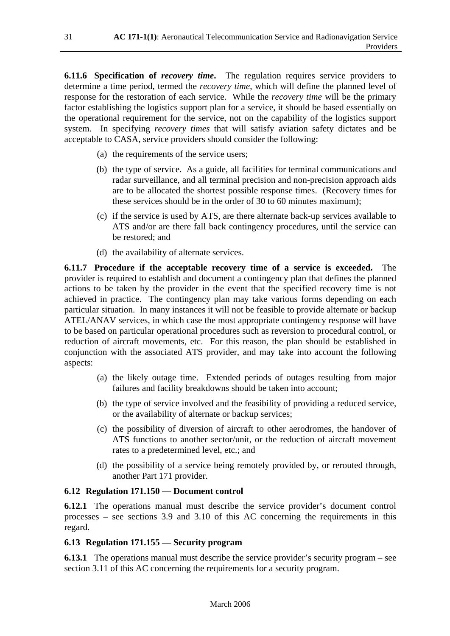**6.11.6 Specification of** *recovery time*. The regulation requires service providers to determine a time period, termed the *recovery time*, which will define the planned level of response for the restoration of each service. While the *recovery time* will be the primary factor establishing the logistics support plan for a service, it should be based essentially on the operational requirement for the service, not on the capability of the logistics support system. In specifying *recovery times* that will satisfy aviation safety dictates and be acceptable to CASA, service providers should consider the following:

- (a) the requirements of the service users;
- (b) the type of service. As a guide, all facilities for terminal communications and radar surveillance, and all terminal precision and non-precision approach aids are to be allocated the shortest possible response times. (Recovery times for these services should be in the order of 30 to 60 minutes maximum);
- (c) if the service is used by ATS, are there alternate back-up services available to ATS and/or are there fall back contingency procedures, until the service can be restored; and
- (d) the availability of alternate services.

**6.11.7 Procedure if the acceptable recovery time of a service is exceeded.** The provider is required to establish and document a contingency plan that defines the planned actions to be taken by the provider in the event that the specified recovery time is not achieved in practice. The contingency plan may take various forms depending on each particular situation. In many instances it will not be feasible to provide alternate or backup ATEL/ANAV services, in which case the most appropriate contingency response will have to be based on particular operational procedures such as reversion to procedural control, or reduction of aircraft movements, etc. For this reason, the plan should be established in conjunction with the associated ATS provider, and may take into account the following aspects:

- (a) the likely outage time. Extended periods of outages resulting from major failures and facility breakdowns should be taken into account;
- (b) the type of service involved and the feasibility of providing a reduced service, or the availability of alternate or backup services;
- (c) the possibility of diversion of aircraft to other aerodromes, the handover of ATS functions to another sector/unit, or the reduction of aircraft movement rates to a predetermined level, etc.; and
- (d) the possibility of a service being remotely provided by, or rerouted through, another Part 171 provider.

#### **6.12 Regulation 171.150 — Document control**

**6.12.1** The operations manual must describe the service provider's document control processes – see sections 3.9 and 3.10 of this AC concerning the requirements in this regard.

#### **6.13 Regulation 171.155 — Security program**

**6.13.1** The operations manual must describe the service provider's security program – see section 3.11 of this AC concerning the requirements for a security program.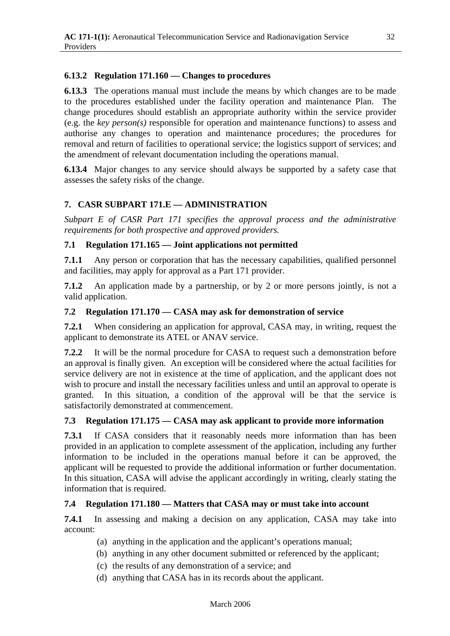#### **6.13.2 Regulation 171.160 — Changes to procedures**

**6.13.3** The operations manual must include the means by which changes are to be made to the procedures established under the facility operation and maintenance Plan. The change procedures should establish an appropriate authority within the service provider (e.g. the *key person(s)* responsible for operation and maintenance functions) to assess and authorise any changes to operation and maintenance procedures; the procedures for removal and return of facilities to operational service; the logistics support of services; and the amendment of relevant documentation including the operations manual.

**6.13.4** Major changes to any service should always be supported by a safety case that assesses the safety risks of the change.

#### **7. CASR SUBPART 171.E — ADMINISTRATION**

*Subpart E of CASR Part 171 specifies the approval process and the administrative requirements for both prospective and approved providers.* 

#### **7.1 Regulation 171.165 — Joint applications not permitted**

**7.1.1** Any person or corporation that has the necessary capabilities, qualified personnel and facilities, may apply for approval as a Part 171 provider.

**7.1.2** An application made by a partnership, or by 2 or more persons jointly, is not a valid application.

#### **7.2 Regulation 171.170 — CASA may ask for demonstration of service**

**7.2.1** When considering an application for approval, CASA may, in writing, request the applicant to demonstrate its ATEL or ANAV service.

**7.2.2** It will be the normal procedure for CASA to request such a demonstration before an approval is finally given. An exception will be considered where the actual facilities for service delivery are not in existence at the time of application, and the applicant does not wish to procure and install the necessary facilities unless and until an approval to operate is granted. In this situation, a condition of the approval will be that the service is satisfactorily demonstrated at commencement.

#### **7.3 Regulation 171.175 — CASA may ask applicant to provide more information**

**7.3.1** If CASA considers that it reasonably needs more information than has been provided in an application to complete assessment of the application, including any further information to be included in the operations manual before it can be approved, the applicant will be requested to provide the additional information or further documentation. In this situation, CASA will advise the applicant accordingly in writing, clearly stating the information that is required.

#### **7.4 Regulation 171.180 — Matters that CASA may or must take into account**

**7.4.1** In assessing and making a decision on any application, CASA may take into account:

- (a) anything in the application and the applicant's operations manual;
- (b) anything in any other document submitted or referenced by the applicant;
- (c) the results of any demonstration of a service; and
- (d) anything that CASA has in its records about the applicant.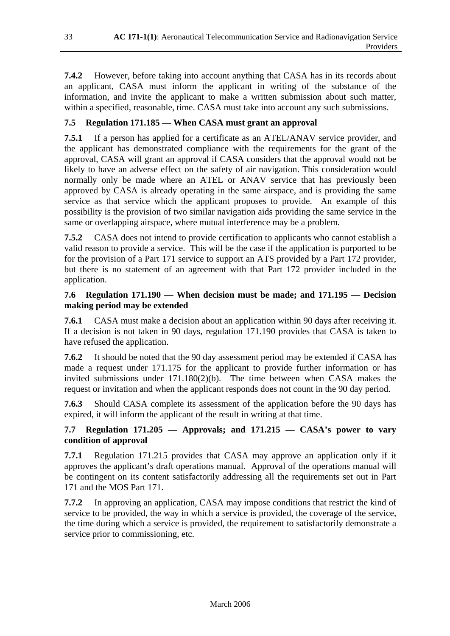**7.4.2** However, before taking into account anything that CASA has in its records about an applicant, CASA must inform the applicant in writing of the substance of the information, and invite the applicant to make a written submission about such matter, within a specified, reasonable, time. CASA must take into account any such submissions.

# **7.5 Regulation 171.185 — When CASA must grant an approval**

**7.5.1** If a person has applied for a certificate as an ATEL/ANAV service provider, and the applicant has demonstrated compliance with the requirements for the grant of the approval, CASA will grant an approval if CASA considers that the approval would not be likely to have an adverse effect on the safety of air navigation. This consideration would normally only be made where an ATEL or ANAV service that has previously been approved by CASA is already operating in the same airspace, and is providing the same service as that service which the applicant proposes to provide. An example of this possibility is the provision of two similar navigation aids providing the same service in the same or overlapping airspace, where mutual interference may be a problem.

**7.5.2** CASA does not intend to provide certification to applicants who cannot establish a valid reason to provide a service. This will be the case if the application is purported to be for the provision of a Part 171 service to support an ATS provided by a Part 172 provider, but there is no statement of an agreement with that Part 172 provider included in the application.

#### **7.6 Regulation 171.190 — When decision must be made; and 171.195 — Decision making period may be extended**

**7.6.1** CASA must make a decision about an application within 90 days after receiving it. If a decision is not taken in 90 days, regulation 171.190 provides that CASA is taken to have refused the application.

**7.6.2** It should be noted that the 90 day assessment period may be extended if CASA has made a request under 171.175 for the applicant to provide further information or has invited submissions under 171.180(2)(b). The time between when CASA makes the request or invitation and when the applicant responds does not count in the 90 day period.

**7.6.3** Should CASA complete its assessment of the application before the 90 days has expired, it will inform the applicant of the result in writing at that time.

# **7.7 Regulation 171.205 — Approvals; and 171.215 — CASA's power to vary condition of approval**

**7.7.1** Regulation 171.215 provides that CASA may approve an application only if it approves the applicant's draft operations manual. Approval of the operations manual will be contingent on its content satisfactorily addressing all the requirements set out in Part 171 and the MOS Part 171.

**7.7.2** In approving an application, CASA may impose conditions that restrict the kind of service to be provided, the way in which a service is provided, the coverage of the service, the time during which a service is provided, the requirement to satisfactorily demonstrate a service prior to commissioning, etc.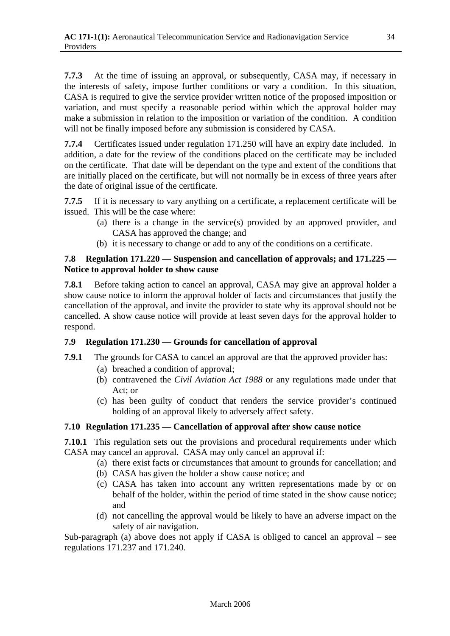**7.7.3** At the time of issuing an approval, or subsequently, CASA may, if necessary in the interests of safety, impose further conditions or vary a condition. In this situation, CASA is required to give the service provider written notice of the proposed imposition or variation, and must specify a reasonable period within which the approval holder may make a submission in relation to the imposition or variation of the condition. A condition will not be finally imposed before any submission is considered by CASA.

**7.7.4** Certificates issued under regulation 171.250 will have an expiry date included. In addition, a date for the review of the conditions placed on the certificate may be included on the certificate. That date will be dependant on the type and extent of the conditions that are initially placed on the certificate, but will not normally be in excess of three years after the date of original issue of the certificate.

**7.7.5** If it is necessary to vary anything on a certificate, a replacement certificate will be issued. This will be the case where:

- (a) there is a change in the service(s) provided by an approved provider, and CASA has approved the change; and
- (b) it is necessary to change or add to any of the conditions on a certificate.

#### **7.8 Regulation 171.220 — Suspension and cancellation of approvals; and 171.225 — Notice to approval holder to show cause**

**7.8.1** Before taking action to cancel an approval, CASA may give an approval holder a show cause notice to inform the approval holder of facts and circumstances that justify the cancellation of the approval, and invite the provider to state why its approval should not be cancelled. A show cause notice will provide at least seven days for the approval holder to respond.

#### **7.9 Regulation 171.230 — Grounds for cancellation of approval**

- **7.9.1** The grounds for CASA to cancel an approval are that the approved provider has:
	- (a) breached a condition of approval;
	- (b) contravened the *Civil Aviation Act 1988* or any regulations made under that Act; or
	- (c) has been guilty of conduct that renders the service provider's continued holding of an approval likely to adversely affect safety.

#### **7.10 Regulation 171.235 — Cancellation of approval after show cause notice**

**7.10.1** This regulation sets out the provisions and procedural requirements under which CASA may cancel an approval. CASA may only cancel an approval if:

- (a) there exist facts or circumstances that amount to grounds for cancellation; and
- (b) CASA has given the holder a show cause notice; and
- (c) CASA has taken into account any written representations made by or on behalf of the holder, within the period of time stated in the show cause notice; and
- (d) not cancelling the approval would be likely to have an adverse impact on the safety of air navigation.

Sub-paragraph (a) above does not apply if CASA is obliged to cancel an approval – see regulations 171.237 and 171.240.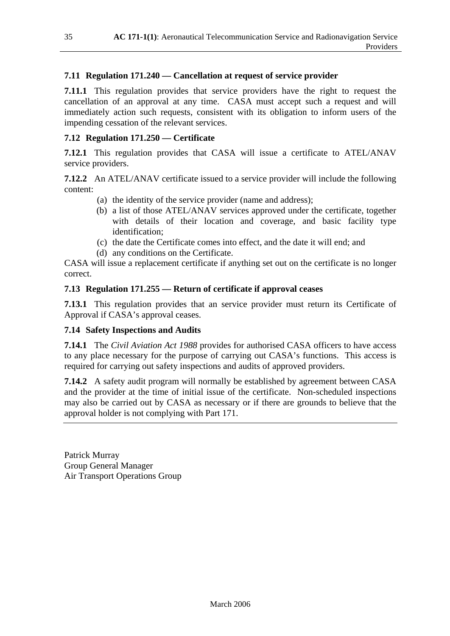#### **7.11 Regulation 171.240 — Cancellation at request of service provider**

**7.11.1** This regulation provides that service providers have the right to request the cancellation of an approval at any time. CASA must accept such a request and will immediately action such requests, consistent with its obligation to inform users of the impending cessation of the relevant services.

#### **7.12 Regulation 171.250 — Certificate**

**7.12.1** This regulation provides that CASA will issue a certificate to ATEL/ANAV service providers.

**7.12.2** An ATEL/ANAV certificate issued to a service provider will include the following content:

- (a) the identity of the service provider (name and address);
- (b) a list of those ATEL/ANAV services approved under the certificate, together with details of their location and coverage, and basic facility type identification;
- (c) the date the Certificate comes into effect, and the date it will end; and
- (d) any conditions on the Certificate.

CASA will issue a replacement certificate if anything set out on the certificate is no longer correct.

# **7.13 Regulation 171.255 — Return of certificate if approval ceases**

**7.13.1** This regulation provides that an service provider must return its Certificate of Approval if CASA's approval ceases.

#### **7.14 Safety Inspections and Audits**

**7.14.1** The *Civil Aviation Act 1988* provides for authorised CASA officers to have access to any place necessary for the purpose of carrying out CASA's functions. This access is required for carrying out safety inspections and audits of approved providers.

**7.14.2** A safety audit program will normally be established by agreement between CASA and the provider at the time of initial issue of the certificate. Non-scheduled inspections may also be carried out by CASA as necessary or if there are grounds to believe that the approval holder is not complying with Part 171.

Patrick Murray Group General Manager Air Transport Operations Group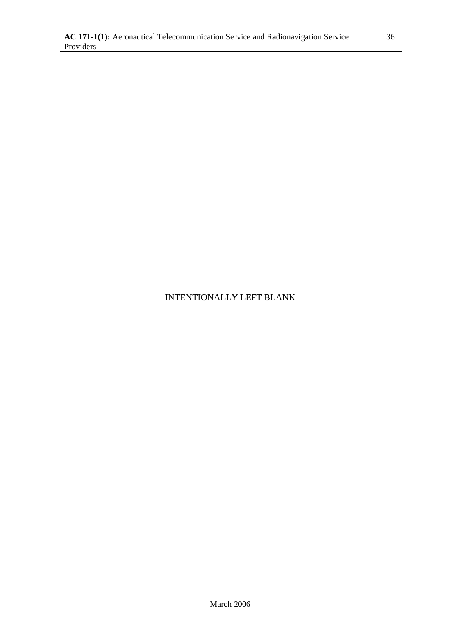# INTENTIONALLY LEFT BLANK

36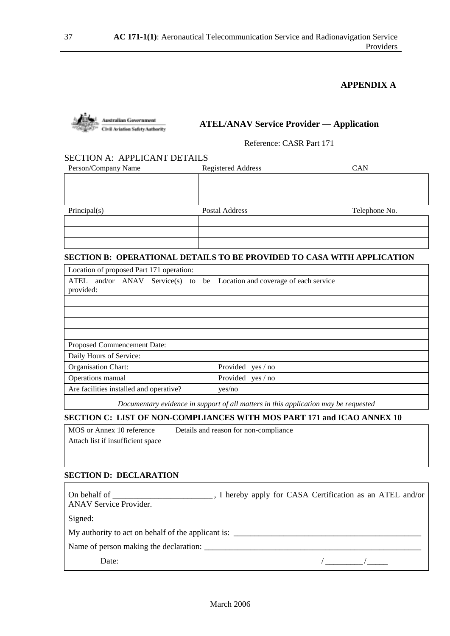#### **APPENDIX A**



#### **ATEL/ANAV Service Provider — Application**

Reference: CASR Part 171

#### SECTION A: APPLICANT DETAILS

| Person/Company Name | <b>Registered Address</b> | CAN           |  |  |
|---------------------|---------------------------|---------------|--|--|
|                     |                           |               |  |  |
|                     |                           |               |  |  |
|                     |                           |               |  |  |
| Principal(s)        | Postal Address            | Telephone No. |  |  |
|                     |                           |               |  |  |
|                     |                           |               |  |  |
|                     |                           |               |  |  |
|                     |                           |               |  |  |

#### **SECTION B: OPERATIONAL DETAILS TO BE PROVIDED TO CASA WITH APPLICATION**

| Location of proposed Part 171 operation:                                |                                                                                                                                                                                                                                                                                                                                 |
|-------------------------------------------------------------------------|---------------------------------------------------------------------------------------------------------------------------------------------------------------------------------------------------------------------------------------------------------------------------------------------------------------------------------|
| ATEL and/or ANAV Service(s) to be Location and coverage of each service |                                                                                                                                                                                                                                                                                                                                 |
| provided:                                                               |                                                                                                                                                                                                                                                                                                                                 |
|                                                                         |                                                                                                                                                                                                                                                                                                                                 |
|                                                                         |                                                                                                                                                                                                                                                                                                                                 |
|                                                                         |                                                                                                                                                                                                                                                                                                                                 |
|                                                                         |                                                                                                                                                                                                                                                                                                                                 |
| Proposed Commencement Date:                                             |                                                                                                                                                                                                                                                                                                                                 |
| Daily Hours of Service:                                                 |                                                                                                                                                                                                                                                                                                                                 |
| Organisation Chart:                                                     | Provided yes / no                                                                                                                                                                                                                                                                                                               |
| Operations manual                                                       | Provided yes / no                                                                                                                                                                                                                                                                                                               |
| Are facilities installed and operative?                                 | yes/no                                                                                                                                                                                                                                                                                                                          |
| $\mathbf{D}$ $\mathbf{I}$                                               | $\mathcal{L}$ , $\mathcal{L}$ , $\mathcal{L}$ , $\mathcal{L}$ , $\mathcal{L}$ , $\mathcal{L}$ , $\mathcal{L}$ , $\mathcal{L}$ , $\mathcal{L}$ , $\mathcal{L}$ , $\mathcal{L}$ , $\mathcal{L}$ , $\mathcal{L}$ , $\mathcal{L}$ , $\mathcal{L}$ , $\mathcal{L}$ , $\mathcal{L}$ , $\mathcal{L}$ , $\mathcal{L}$ , $\mathcal{L}$ , |

*Documentary evidence in support of all matters in this application may be requested* 

#### **SECTION C: LIST OF NON-COMPLIANCES WITH MOS PART 171 and ICAO ANNEX 10**

MOS or Annex 10 reference Details and reason for non-compliance Attach list if insufficient space

#### **SECTION D: DECLARATION**

| On behalf of the contract of the contract of the contract of the contract of the contract of the contract of the contract of the contract of the contract of the contract of the contract of the contract of the contract of t<br><b>ANAV Service Provider.</b> |  | ., I hereby apply for CASA Certification as an ATEL and/or |
|-----------------------------------------------------------------------------------------------------------------------------------------------------------------------------------------------------------------------------------------------------------------|--|------------------------------------------------------------|
| Signed:                                                                                                                                                                                                                                                         |  |                                                            |
| My authority to act on behalf of the applicant is:                                                                                                                                                                                                              |  |                                                            |
| Name of person making the declaration:                                                                                                                                                                                                                          |  |                                                            |
| Date:                                                                                                                                                                                                                                                           |  |                                                            |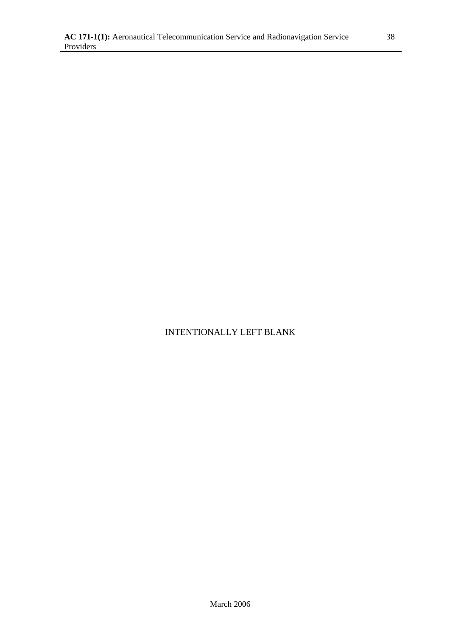# INTENTIONALLY LEFT BLANK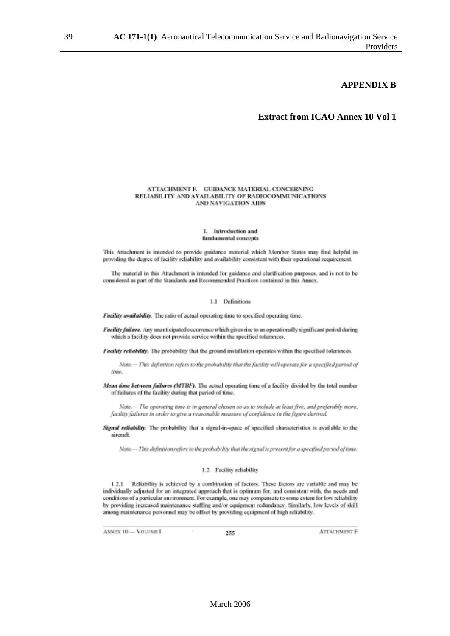#### **APPENDIX B**

#### **Extract from ICAO Annex 10 Vol 1**

#### ATTACHMENT F. GUIDANCE MATERIAL CONCERNING RELIABILITY AND AVAILABILITY OF RADIOCOMMUNICATIONS AND NAVIGATION AIDS

#### 1. Introduction and fundamental concepts

This Attachment is intended to provide guidance material which Member States may find helpful in providing the degree of facility reliability and availability consistent with their operational requirement.

The material in this Attachment is intended for guidance and clarification purposes, and is not to be considered as part of the Standards and Recommended Practices contained in this Annex.

#### 1.1 Definitions

Facility availability. The ratio of actual operating time to specified operating time.

Facility failure. Any unanticipated occurrence which gives rise to an operationally significant period during which a facility does not provide service within the specified tolerances.

Facility reliability. The probability that the ground installation operates within the specified tolerances.

Note.-This definition refers to the probability that the facility will operate for a specified period of Nave

Mean time between failures (MTBF). The actual operating time of a facility divided by the total number of failures of the facility during that period of time.

Note.- The operating time is in general chosen so as to include at least five, and preferably more, facility failures in order to give a reasonable measure of confidence in the figure derived.

Signal reliability. The probability that a signal-in-space of specified characteristics is available to the aircraft.

Note.-This definition refers to the probability that the signal is present for a specified period of time.

#### 1.2 Facility reliability

Reliability is achieved by a combination of factors. These factors are variable and may be  $1.2.1$ individually adjusted for an integrated approach that is optimum for, and consistent with, the needs and conditions of a particular environment. For example, one may compensate to some extent for low reliability by providing increased maintenance staffing and/or equipment redundancy. Similarly, low levels of skill among maintenance personnel may be offset by providing equipment of high reliability.

**ATTACHMENT F**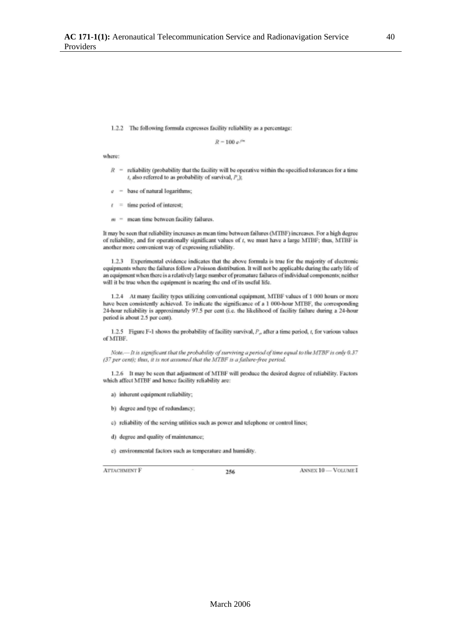1.2.2 The following formula expresses facility reliability as a percentage:

 $R = 100 e^{j m}$ 

where:

- $R =$ reliability (probability that the facility will be operative within the specified tolerances for a time  $t$ , also referred to as probability of survival,  $P$ <sub>,</sub>);
- $e$  = base of natural logarithms;
- $t =$  time period of interest;
- $m =$  mean time between facility failures.

It may be seen that reliability increases as mean time between failures (MTBF) increases. For a high degree of reliability, and for operationally significant values of t, we must have a large MTBF; thus, MTBF is another more convenient way of expressing reliability.

1.2.3 Experimental evidence indicates that the above formula is true for the majority of electronic equipments where the failures follow a Poisson distribution. It will not be applicable during the early life of an equipment when there is a relatively large number of premature failures of individual components; neither will it be true when the equipment is nearing the end of its useful life.

1.2.4 At many facility types utilizing conventional equipment, MTBF values of 1 000 hours or more have been consistently achieved. To indicate the significance of a 1 000-hour MTBF, the corresponding 24-hour reliability is approximately 97.5 per cent (i.e. the likelihood of facility failure during a 24-hour period is about 2.5 per cent).

1.2.5 Figure F-1 shows the probability of facility survival, P., after a time period, t, for various values of MTBF.

Note.-It is significant that the probability of surviving a period of time equal to the MTBF is only 0.37 (37 per cent); thus, it is not assumed that the MTBF is a failure-free period.

1.2.6 It may be seen that adjustment of MTBF will produce the desired degree of reliability. Factors which affect MTBF and hence facility reliability are:

- a) inherent equipment reliability;
- b) degree and type of redundancy;
- c) reliability of the serving utilities such as power and telephone or control lines;
- d) degree and quality of maintenance;
- c) environmental factors such as temperature and humidity.

**ATTACHMENT F** 

256

ANNEX 10 - VOLUME I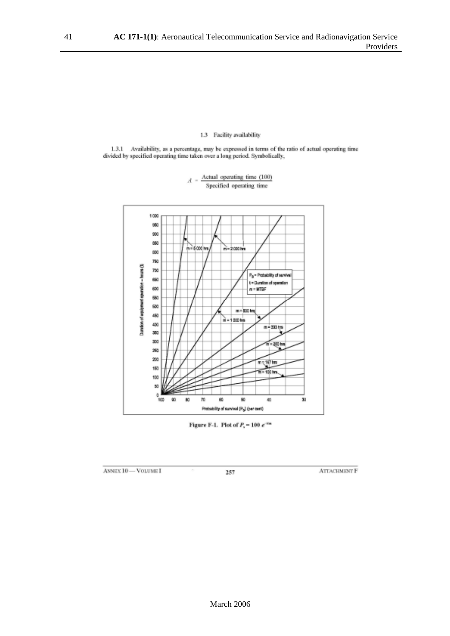#### 1.3 Facility availability

 $1.3.1$  Availability, as a percentage, may be expressed in terms of the ratio of actual operating time divided by specified operating time taken over a long period. Symbolically,

 $A = \frac{\text{Actual operating time} (100)}{\text{Special operating time}}$ 1000 980 900 880  $m = 6000 \text{ m}$  $m = 2000$  hm 800 750 Duration of equipment operation - hours (I)  $T<sup>0</sup>$ P<sub>B</sub> = Probability of survival 650 t = Duration of operation  $M = \text{MTBF}$ 600 660 600  $m = 500$  hn 450  $m = 1000$  hm 400  $m = 333$  hm 350  $300$  $-250$  hm 260 200  $m = 167$  hm 150  $= 100$  hrs 100 50 ā, 100 90 80  $\overline{n}$ 60 50 40 30 Probability of survival (P<sub>S</sub>) (per cent)

Figure F-1. Plot of  $P_s = 100 e^{-im}$ 

ANNEX 10-VOLUME I

257

**ATTACHMENT F**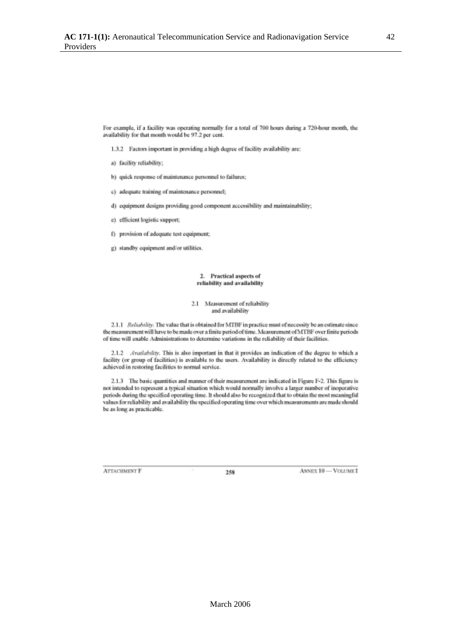For example, if a facility was operating normally for a total of 700 hours during a 720-hour month, the availability for that month would be 97.2 per cent.

1.3.2 Factors important in providing a high degree of facility availability are:

- a) facility reliability;
- b) quick response of maintenance personnel to failures;
- c) adequate training of maintenance personnel;
- d) equipment designs providing good component accessibility and maintainability;
- c) efficient logistic support;
- f) provision of adequate test equipment;
- g) standby equipment and/or utilities.

#### 2. Practical aspects of reliability and availability

#### 2.1 Measurement of reliability and availability

2.1.1 Reliability. The value that is obtained for MTBF in practice must of necessity be an estimate since the measurement will have to be made over a finite period of time. Measurement of MTBF over finite periods of time will enable Administrations to determine variations in the reliability of their facilities.

2.1.2 Availability. This is also important in that it provides an indication of the degree to which a facility (or group of facilities) is available to the users. Availability is directly related to the efficiency achieved in restoring facilities to normal service.

2.1.3 The basic quantities and manner of their measurement are indicated in Figure F-2. This figure is not intended to represent a typical situation which would normally involve a larger number of inoperative periods during the specified operating time. It should also be recognized that to obtain the most meaningful values for reliability and availability the specified operating time over which measurements are made should be as long as practicable.

**ATTACHMENT F** 

258

ANNEX 10 - VOLUME I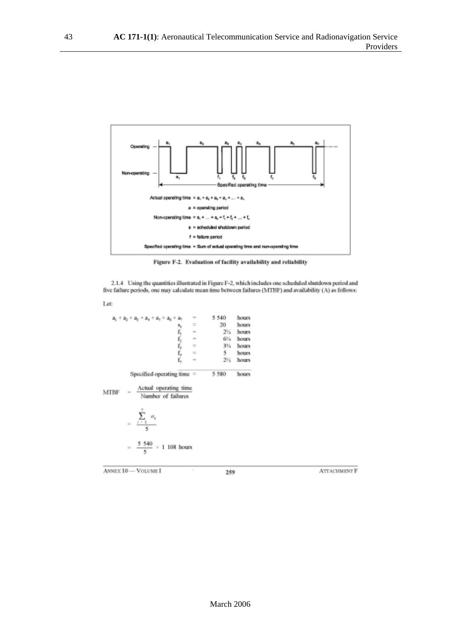

Figure F-2. Evaluation of facility availability and reliability

2.1.4 Using the quantities illustrated in Figure F-2, which includes one scheduled shutdown period and five failure periods, one may calculate mean time between failures (MTBF) and availability (A) as follows:



|      | $a_1 + a_2 + a_3 + a_4 + a_5 + a_6 + a_7$<br>气白白<br>$\mathbf{f}_4$<br>f, | $\sim$<br>$=$<br>$\equiv$<br>$\sim$<br>$\equiv$<br>$\frac{1}{2}$<br>$\sim$ | 5 540<br>20<br>2%<br>6%<br>3%<br>5<br>$2\frac{1}{2}$ | hours<br>hours<br>hours<br>hours<br>hours<br>hours<br>hours |
|------|--------------------------------------------------------------------------|----------------------------------------------------------------------------|------------------------------------------------------|-------------------------------------------------------------|
| MIBF | Specified operating time<br>Actual operating time<br>Number of failures  | $=$                                                                        | 5 580                                                | hours                                                       |
|      | $\sum_{i=1}^{\infty} a_i$<br>$\equiv$                                    |                                                                            |                                                      |                                                             |
|      | 5 540<br>$= 1$ 108 hours<br>$\equiv$<br>۰                                |                                                                            |                                                      |                                                             |

ANNEX 10-VOLUME I

259

**ATTACHMENT F**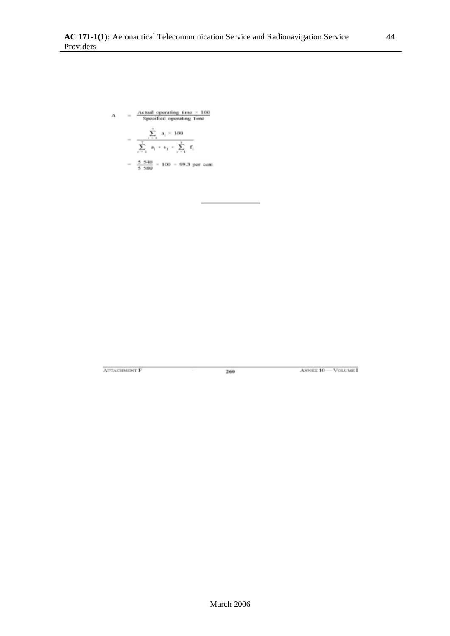$A = \frac{Actual\ operating\ time \times 100}{\text{Special operating time}}$ 

$$
= - \frac{\sum\limits_{i=1}^{T} -a_i \times 100}{\sum\limits_{i=1}^{T} -a_i + s_i + \sum\limits_{i=1}^{T} -f_i}
$$

 $=\frac{5.540}{5.580} \times 100 = 99.3$  per cent

**ATTACHMENT F** 

260

ANNEX 10 - VOLUME I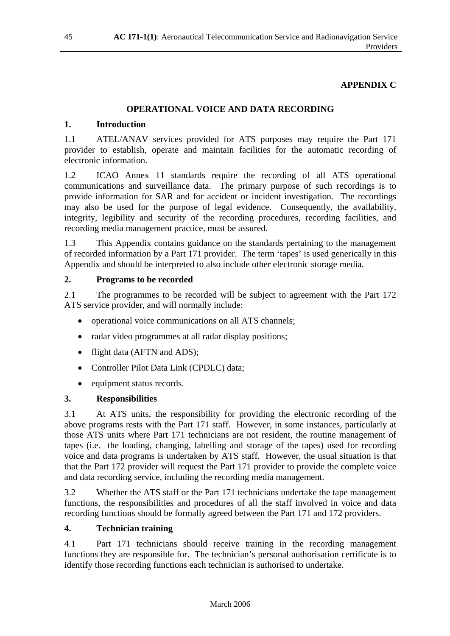# **APPENDIX C**

#### **OPERATIONAL VOICE AND DATA RECORDING**

#### **1. Introduction**

1.1 ATEL/ANAV services provided for ATS purposes may require the Part 171 provider to establish, operate and maintain facilities for the automatic recording of electronic information.

1.2 ICAO Annex 11 standards require the recording of all ATS operational communications and surveillance data. The primary purpose of such recordings is to provide information for SAR and for accident or incident investigation. The recordings may also be used for the purpose of legal evidence. Consequently, the availability, integrity, legibility and security of the recording procedures, recording facilities, and recording media management practice, must be assured.

1.3 This Appendix contains guidance on the standards pertaining to the management of recorded information by a Part 171 provider. The term 'tapes' is used generically in this Appendix and should be interpreted to also include other electronic storage media.

#### **2. Programs to be recorded**

2.1 The programmes to be recorded will be subject to agreement with the Part 172 ATS service provider, and will normally include:

- operational voice communications on all ATS channels;
- radar video programmes at all radar display positions;
- flight data (AFTN and ADS);
- Controller Pilot Data Link (CPDLC) data;
- equipment status records.

#### **3. Responsibilities**

3.1 At ATS units, the responsibility for providing the electronic recording of the above programs rests with the Part 171 staff. However, in some instances, particularly at those ATS units where Part 171 technicians are not resident, the routine management of tapes (i.e. the loading, changing, labelling and storage of the tapes) used for recording voice and data programs is undertaken by ATS staff. However, the usual situation is that that the Part 172 provider will request the Part 171 provider to provide the complete voice and data recording service, including the recording media management.

3.2 Whether the ATS staff or the Part 171 technicians undertake the tape management functions, the responsibilities and procedures of all the staff involved in voice and data recording functions should be formally agreed between the Part 171 and 172 providers.

#### **4. Technician training**

4.1 Part 171 technicians should receive training in the recording management functions they are responsible for. The technician's personal authorisation certificate is to identify those recording functions each technician is authorised to undertake.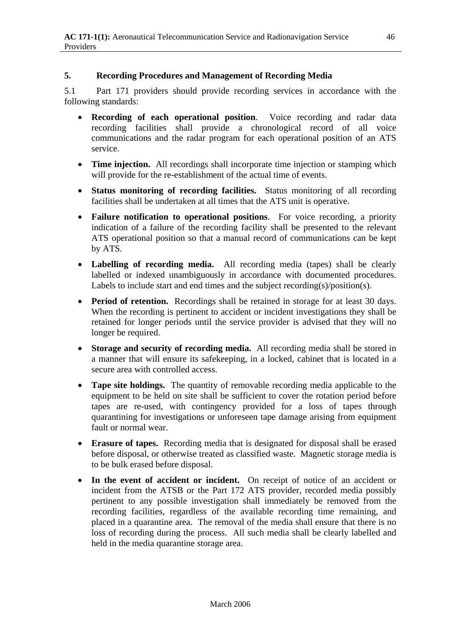#### **5. Recording Procedures and Management of Recording Media**

5.1 Part 171 providers should provide recording services in accordance with the following standards:

- **Recording of each operational position**. Voice recording and radar data recording facilities shall provide a chronological record of all voice communications and the radar program for each operational position of an ATS service.
- **Time injection.** All recordings shall incorporate time injection or stamping which will provide for the re-establishment of the actual time of events.
- **Status monitoring of recording facilities.** Status monitoring of all recording facilities shall be undertaken at all times that the ATS unit is operative.
- **Failure notification to operational positions**. For voice recording, a priority indication of a failure of the recording facility shall be presented to the relevant ATS operational position so that a manual record of communications can be kept by ATS.
- **Labelling of recording media.** All recording media (tapes) shall be clearly labelled or indexed unambiguously in accordance with documented procedures. Labels to include start and end times and the subject recording(s)/position(s).
- **Period of retention.** Recordings shall be retained in storage for at least 30 days. When the recording is pertinent to accident or incident investigations they shall be retained for longer periods until the service provider is advised that they will no longer be required.
- **Storage and security of recording media.** All recording media shall be stored in a manner that will ensure its safekeeping, in a locked, cabinet that is located in a secure area with controlled access.
- **Tape site holdings.** The quantity of removable recording media applicable to the equipment to be held on site shall be sufficient to cover the rotation period before tapes are re-used, with contingency provided for a loss of tapes through quarantining for investigations or unforeseen tape damage arising from equipment fault or normal wear.
- **Erasure of tapes.** Recording media that is designated for disposal shall be erased before disposal, or otherwise treated as classified waste. Magnetic storage media is to be bulk erased before disposal.
- **In the event of accident or incident.** On receipt of notice of an accident or incident from the ATSB or the Part 172 ATS provider, recorded media possibly pertinent to any possible investigation shall immediately be removed from the recording facilities, regardless of the available recording time remaining, and placed in a quarantine area. The removal of the media shall ensure that there is no loss of recording during the process. All such media shall be clearly labelled and held in the media quarantine storage area.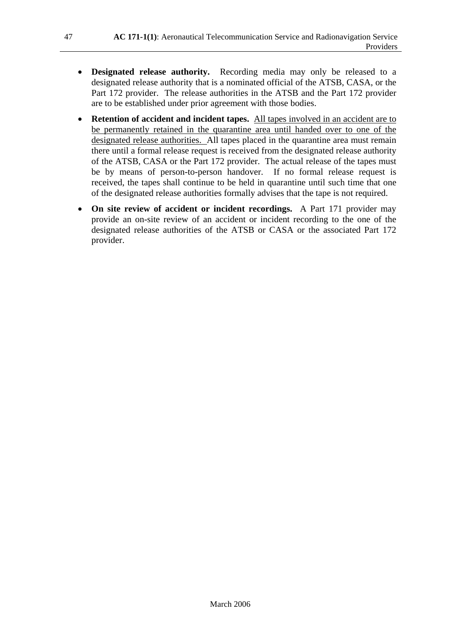- **Designated release authority.** Recording media may only be released to a designated release authority that is a nominated official of the ATSB, CASA, or the Part 172 provider. The release authorities in the ATSB and the Part 172 provider are to be established under prior agreement with those bodies.
- **Retention of accident and incident tapes.** All tapes involved in an accident are to be permanently retained in the quarantine area until handed over to one of the designated release authorities. All tapes placed in the quarantine area must remain there until a formal release request is received from the designated release authority of the ATSB, CASA or the Part 172 provider. The actual release of the tapes must be by means of person-to-person handover. If no formal release request is received, the tapes shall continue to be held in quarantine until such time that one of the designated release authorities formally advises that the tape is not required.
- **On site review of accident or incident recordings.** A Part 171 provider may provide an on-site review of an accident or incident recording to the one of the designated release authorities of the ATSB or CASA or the associated Part 172 provider.